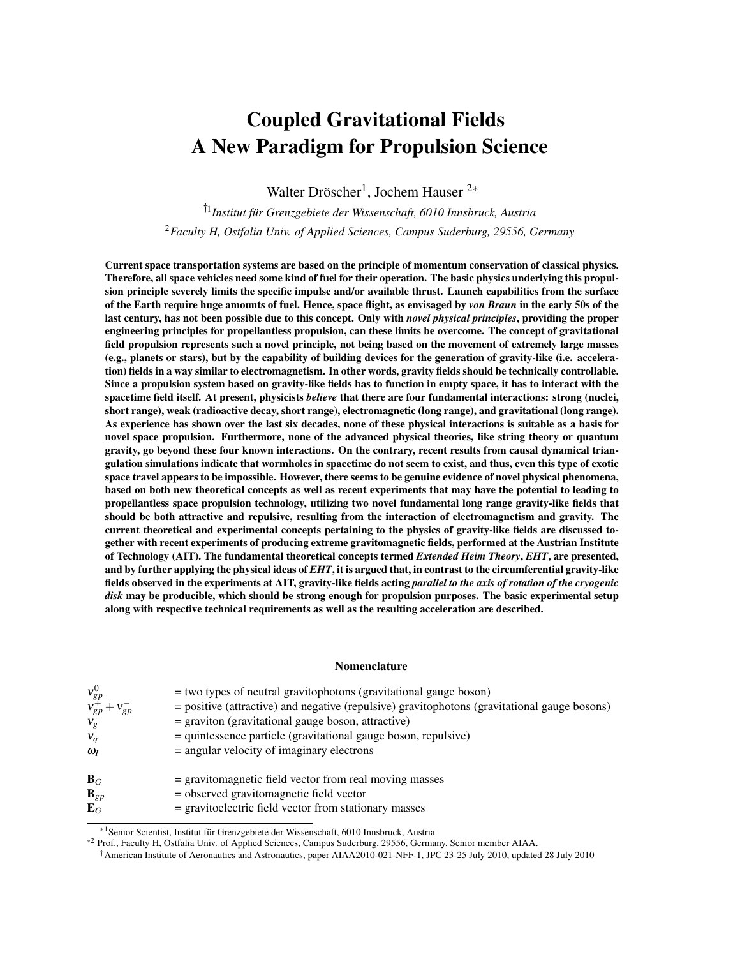# Coupled Gravitational Fields A New Paradigm for Propulsion Science

Walter Dröscher<sup>1</sup>, Jochem Hauser <sup>2∗</sup>

†1 *Institut für Grenzgebiete der Wissenschaft, 6010 Innsbruck, Austria* <sup>2</sup>*Faculty H, Ostfalia Univ. of Applied Sciences, Campus Suderburg, 29556, Germany*

Current space transportation systems are based on the principle of momentum conservation of classical physics. Therefore, all space vehicles need some kind of fuel for their operation. The basic physics underlying this propulsion principle severely limits the specific impulse and/or available thrust. Launch capabilities from the surface of the Earth require huge amounts of fuel. Hence, space flight, as envisaged by *von Braun* in the early 50s of the last century, has not been possible due to this concept. Only with *novel physical principles*, providing the proper engineering principles for propellantless propulsion, can these limits be overcome. The concept of gravitational field propulsion represents such a novel principle, not being based on the movement of extremely large masses (e.g., planets or stars), but by the capability of building devices for the generation of gravity-like (i.e. acceleration) fields in a way similar to electromagnetism. In other words, gravity fields should be technically controllable. Since a propulsion system based on gravity-like fields has to function in empty space, it has to interact with the spacetime field itself. At present, physicists *believe* that there are four fundamental interactions: strong (nuclei, short range), weak (radioactive decay, short range), electromagnetic (long range), and gravitational (long range). As experience has shown over the last six decades, none of these physical interactions is suitable as a basis for novel space propulsion. Furthermore, none of the advanced physical theories, like string theory or quantum gravity, go beyond these four known interactions. On the contrary, recent results from causal dynamical triangulation simulations indicate that wormholes in spacetime do not seem to exist, and thus, even this type of exotic space travel appears to be impossible. However, there seems to be genuine evidence of novel physical phenomena, based on both new theoretical concepts as well as recent experiments that may have the potential to leading to propellantless space propulsion technology, utilizing two novel fundamental long range gravity-like fields that should be both attractive and repulsive, resulting from the interaction of electromagnetism and gravity. The current theoretical and experimental concepts pertaining to the physics of gravity-like fields are discussed together with recent experiments of producing extreme gravitomagnetic fields, performed at the Austrian Institute of Technology (AIT). The fundamental theoretical concepts termed *Extended Heim Theory*, *EHT*, are presented, and by further applying the physical ideas of *EHT*, it is argued that, in contrast to the circumferential gravity-like fields observed in the experiments at AIT, gravity-like fields acting *parallel to the axis of rotation of the cryogenic disk* may be producible, which should be strong enough for propulsion purposes. The basic experimental setup along with respective technical requirements as well as the resulting acceleration are described.

#### Nomenclature

| $v_{gp}^0$<br>$v_{gp}^+ + v_{gp}^-$<br>$V_{\varrho}$ | $=$ two types of neutral gravitophotons (gravitational gauge boson)<br>= positive (attractive) and negative (repulsive) gravitophotons (gravitational gauge bosons)<br>$=$ graviton (gravitational gauge boson, attractive) |
|------------------------------------------------------|-----------------------------------------------------------------------------------------------------------------------------------------------------------------------------------------------------------------------------|
| $V_q$                                                | = quintessence particle (gravitational gauge boson, repulsive)                                                                                                                                                              |
| $\omega_I$                                           | $=$ angular velocity of imaginary electrons                                                                                                                                                                                 |
| $B_G$                                                | = gravitomagnetic field vector from real moving masses                                                                                                                                                                      |
| $\mathbf{B}_{gp}$                                    | $=$ observed gravitomagnetic field vector                                                                                                                                                                                   |
| $\mathbf{E}_G$                                       | = gravitoelectric field vector from stationary masses                                                                                                                                                                       |

<sup>∗</sup>1Senior Scientist, Institut für Grenzgebiete der Wissenschaft, 6010 Innsbruck, Austria

<sup>∗</sup><sup>2</sup> Prof., Faculty H, Ostfalia Univ. of Applied Sciences, Campus Suderburg, 29556, Germany, Senior member AIAA.

<sup>†</sup>American Institute of Aeronautics and Astronautics, paper AIAA2010-021-NFF-1, JPC 23-25 July 2010, updated 28 July 2010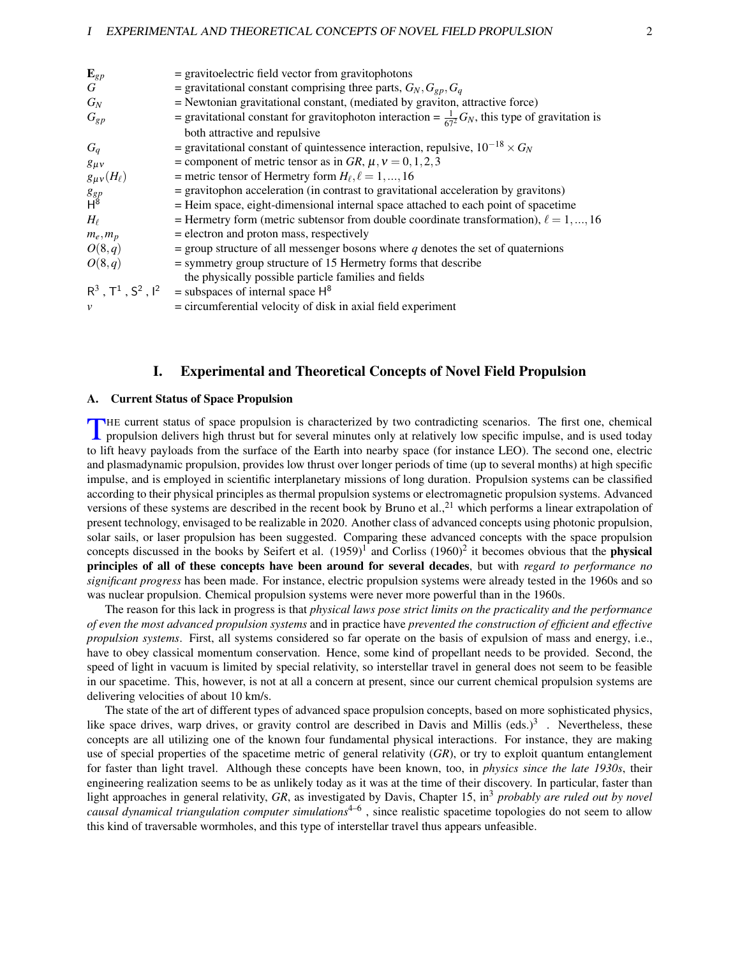| ${\bf E}_{gp}$       | = gravitoelectric field vector from gravitophotons                                                         |
|----------------------|------------------------------------------------------------------------------------------------------------|
| G                    | = gravitational constant comprising three parts, $G_N, G_{gp}, G_q$                                        |
| $G_N$                | = Newtonian gravitational constant, (mediated by graviton, attractive force)                               |
| $G_{gp}$             | = gravitational constant for gravitophoton interaction = $\frac{1}{67^2}G_N$ , this type of gravitation is |
|                      | both attractive and repulsive                                                                              |
| $G_q$                | = gravitational constant of quintessence interaction, repulsive, $10^{-18} \times G_N$                     |
| $g_{\mu\nu}$         | = component of metric tensor as in GR, $\mu$ , $\nu$ = 0, 1, 2, 3                                          |
| $g_{\mu\nu}(H_\ell)$ | = metric tensor of Hermetry form $H_{\ell}, \ell = 1, , 16$                                                |
| $g_{gp} \over H^8$   | = gravitophon acceleration (in contrast to gravitational acceleration by gravitons)                        |
|                      | = Heim space, eight-dimensional internal space attached to each point of spacetime                         |
| $H_{\ell}$           | = Hermetry form (metric subtensor from double coordinate transformation), $\ell = 1, , 16$                 |
| $m_e, m_p$           | = electron and proton mass, respectively                                                                   |
| O(8,q)               | $=$ group structure of all messenger bosons where q denotes the set of quaternions                         |
| O(8,q)               | $=$ symmetry group structure of 15 Hermetry forms that describe                                            |
|                      | the physically possible particle families and fields                                                       |
|                      | $R^3$ , $T^1$ , $S^2$ , $I^2$ = subspaces of internal space $H^8$                                          |
| $\mathcal{V}$        | $=$ circumferential velocity of disk in axial field experiment                                             |
|                      |                                                                                                            |

# I. Experimental and Theoretical Concepts of Novel Field Propulsion

## <span id="page-1-0"></span>A. Current Status of Space Propulsion

T HE current status of space propulsion is characterized by two contradicting scenarios. The first one, chemical propulsion delivers high thrust but for several minutes only at relatively low specific impulse, and is used today to lift heavy payloads from the surface of the Earth into nearby space (for instance LEO). The second one, electric and plasmadynamic propulsion, provides low thrust over longer periods of time (up to several months) at high specific impulse, and is employed in scientific interplanetary missions of long duration. Propulsion systems can be classified according to their physical principles as thermal propulsion systems or electromagnetic propulsion systems. Advanced versions of these systems are described in the recent book by Bruno et al.,<sup>21</sup> which performs a linear extrapolation of present technology, envisaged to be realizable in 2020. Another class of advanced concepts using photonic propulsion, solar sails, or laser propulsion has been suggested. Comparing these advanced concepts with the space propulsion concepts discussed in the books by Seifert et al.  $(1959)^{1}$  and Corliss  $(1960)^{2}$  it becomes obvious that the **physical** principles of all of these concepts have been around for several decades, but with *regard to performance no significant progress* has been made. For instance, electric propulsion systems were already tested in the 1960s and so was nuclear propulsion. Chemical propulsion systems were never more powerful than in the 1960s.

The reason for this lack in progress is that *physical laws pose strict limits on the practicality and the performance of even the most advanced propulsion systems* and in practice have *prevented the construction of efficient and effective propulsion systems*. First, all systems considered so far operate on the basis of expulsion of mass and energy, i.e., have to obey classical momentum conservation. Hence, some kind of propellant needs to be provided. Second, the speed of light in vacuum is limited by special relativity, so interstellar travel in general does not seem to be feasible in our spacetime. This, however, is not at all a concern at present, since our current chemical propulsion systems are delivering velocities of about 10 km/s.

The state of the art of different types of advanced space propulsion concepts, based on more sophisticated physics, like space drives, warp drives, or gravity control are described in Davis and Millis (eds.)<sup>3</sup>. Nevertheless, these concepts are all utilizing one of the known four fundamental physical interactions. For instance, they are making use of special properties of the spacetime metric of general relativity (*GR*), or try to exploit quantum entanglement for faster than light travel. Although these concepts have been known, too, in *physics since the late 1930s*, their engineering realization seems to be as unlikely today as it was at the time of their discovery. In particular, faster than light approaches in general relativity, *GR*, as investigated by Davis, Chapter 15, in<sup>3</sup> *probably are ruled out by novel causal dynamical triangulation computer simulations*4–6 , since realistic spacetime topologies do not seem to allow this kind of traversable wormholes, and this type of interstellar travel thus appears unfeasible.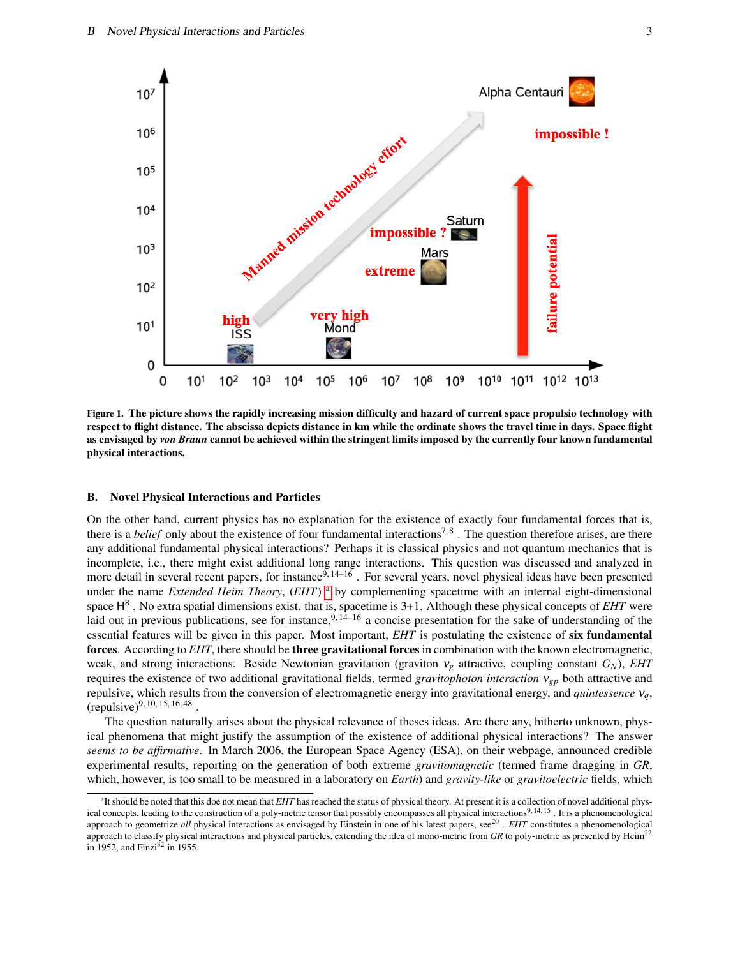

Figure 1. The picture shows the rapidly increasing mission difficulty and hazard of current space propulsio technology with respect to flight distance. The abscissa depicts distance in km while the ordinate shows the travel time in days. Space flight as envisaged by *von Braun* cannot be achieved within the stringent limits imposed by the currently four known fundamental physical interactions.

## B. Novel Physical Interactions and Particles

On the other hand, current physics has no explanation for the existence of exactly four fundamental forces that is, there is a *belief* only about the existence of four fundamental interactions<sup>7,8</sup>. The question therefore arises, are there any additional fundamental physical interactions? Perhaps it is classical physics and not quantum mechanics that is incomplete, i.e., there might exist additional long range interactions. This question was discussed and analyzed in more detail in several recent papers, for instance  $9, 14–16$ . For several years, novel physical ideas have been presented under the name *Extended Heim Theory*, (*EHT*) [a](#page-2-0) by complementing spacetime with an internal eight-dimensional space H 8 . No extra spatial dimensions exist. that is, spacetime is 3+1. Although these physical concepts of *EHT* were laid out in previous publications, see for instance,<sup>9, 14–16</sup> a concise presentation for the sake of understanding of the essential features will be given in this paper. Most important, *EHT* is postulating the existence of six fundamental forces. According to *EHT*, there should be three gravitational forces in combination with the known electromagnetic, weak, and strong interactions. Beside Newtonian gravitation (graviton ν*<sup>g</sup>* attractive, coupling constant *GN*), *EHT* requires the existence of two additional gravitational fields, termed *gravitophoton interaction* ν*gp* both attractive and repulsive, which results from the conversion of electromagnetic energy into gravitational energy, and *quintessence* ν*q*,  $(repulse)^{9, 10, 15, 16, 48}$ .

The question naturally arises about the physical relevance of theses ideas. Are there any, hitherto unknown, physical phenomena that might justify the assumption of the existence of additional physical interactions? The answer *seems to be affirmative*. In March 2006, the European Space Agency (ESA), on their webpage, announced credible experimental results, reporting on the generation of both extreme *gravitomagnetic* (termed frame dragging in *GR*, which, however, is too small to be measured in a laboratory on *Earth*) and *gravity-like* or *gravitoelectric* fields, which

<span id="page-2-0"></span><sup>&</sup>lt;sup>a</sup>It should be noted that this doe not mean that *EHT* has reached the status of physical theory. At present it is a collection of novel additional physical concepts, leading to the construction of a poly-metric tensor that possibly encompasses all physical interactions<sup>9, 14, 15</sup>. It is a phenomenological approach to geometrize all physical interactions as envisaged by Einstein in one of his latest papers, see<sup>20</sup>. *EHT* constitutes a phenomenological approach to classify physical interactions and physical particles, extending the idea of mono-metric from *GR* to poly-metric as presented by Heim<sup>22</sup> in 1952, and Finzi $32$  in 1955.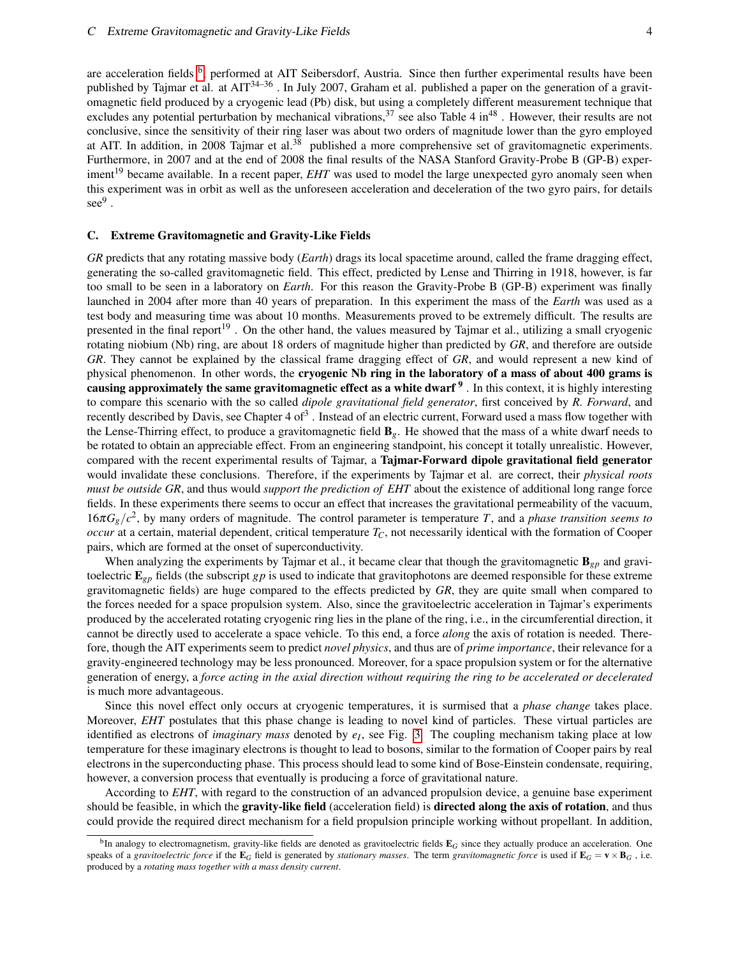are acceleration fields <sup>[b](#page-3-0)</sup>, performed at AIT Seibersdorf, Austria. Since then further experimental results have been published by Tajmar et al. at AIT<sup>34–36</sup>. In July 2007, Graham et al. published a paper on the generation of a gravitomagnetic field produced by a cryogenic lead (Pb) disk, but using a completely different measurement technique that excludes any potential perturbation by mechanical vibrations,  $37$  see also Table 4 in<sup>48</sup>. However, their results are not conclusive, since the sensitivity of their ring laser was about two orders of magnitude lower than the gyro employed at AIT. In addition, in 2008 Tajmar et al.<sup>38</sup> published a more comprehensive set of gravitomagnetic experiments. Furthermore, in 2007 and at the end of 2008 the final results of the NASA Stanford Gravity-Probe B (GP-B) experiment<sup>19</sup> became available. In a recent paper, *EHT* was used to model the large unexpected gyro anomaly seen when this experiment was in orbit as well as the unforeseen acceleration and deceleration of the two gyro pairs, for details  $\sec^9$  .

#### C. Extreme Gravitomagnetic and Gravity-Like Fields

*GR* predicts that any rotating massive body (*Earth*) drags its local spacetime around, called the frame dragging effect, generating the so-called gravitomagnetic field. This effect, predicted by Lense and Thirring in 1918, however, is far too small to be seen in a laboratory on *Earth*. For this reason the Gravity-Probe B (GP-B) experiment was finally launched in 2004 after more than 40 years of preparation. In this experiment the mass of the *Earth* was used as a test body and measuring time was about 10 months. Measurements proved to be extremely difficult. The results are presented in the final report<sup>19</sup>. On the other hand, the values measured by Tajmar et al., utilizing a small cryogenic rotating niobium (Nb) ring, are about 18 orders of magnitude higher than predicted by *GR*, and therefore are outside *GR*. They cannot be explained by the classical frame dragging effect of *GR*, and would represent a new kind of physical phenomenon. In other words, the cryogenic Nb ring in the laboratory of a mass of about 400 grams is causing approximately the same gravitomagnetic effect as a white dwarf  $9$ . In this context, it is highly interesting to compare this scenario with the so called *dipole gravitational field generator*, first conceived by *R. Forward*, and recently described by Davis, see Chapter 4 of<sup>3</sup>. Instead of an electric current, Forward used a mass flow together with the Lense-Thirring effect, to produce a gravitomagnetic field B*g*. He showed that the mass of a white dwarf needs to be rotated to obtain an appreciable effect. From an engineering standpoint, his concept it totally unrealistic. However, compared with the recent experimental results of Tajmar, a Tajmar-Forward dipole gravitational field generator would invalidate these conclusions. Therefore, if the experiments by Tajmar et al. are correct, their *physical roots must be outside GR*, and thus would *support the prediction of EHT* about the existence of additional long range force fields. In these experiments there seems to occur an effect that increases the gravitational permeability of the vacuum,  $16\pi G_g/c^2$ , by many orders of magnitude. The control parameter is temperature *T*, and a *phase transition seems to occur* at a certain, material dependent, critical temperature  $T_c$ , not necessarily identical with the formation of Cooper pairs, which are formed at the onset of superconductivity.

When analyzing the experiments by Tajmar et al., it became clear that though the gravitomagnetic  $B_{gp}$  and gravitoelectric E*gp* fields (the subscript *gp* is used to indicate that gravitophotons are deemed responsible for these extreme gravitomagnetic fields) are huge compared to the effects predicted by *GR*, they are quite small when compared to the forces needed for a space propulsion system. Also, since the gravitoelectric acceleration in Tajmar's experiments produced by the accelerated rotating cryogenic ring lies in the plane of the ring, i.e., in the circumferential direction, it cannot be directly used to accelerate a space vehicle. To this end, a force *along* the axis of rotation is needed. Therefore, though the AIT experiments seem to predict *novel physics*, and thus are of *prime importance*, their relevance for a gravity-engineered technology may be less pronounced. Moreover, for a space propulsion system or for the alternative generation of energy, a *force acting in the axial direction without requiring the ring to be accelerated or decelerated* is much more advantageous.

Since this novel effect only occurs at cryogenic temperatures, it is surmised that a *phase change* takes place. Moreover, *EHT* postulates that this phase change is leading to novel kind of particles. These virtual particles are identified as electrons of *imaginary mass* denoted by  $e_I$ , see Fig. [3.](#page-6-0) The coupling mechanism taking place at low temperature for these imaginary electrons is thought to lead to bosons, similar to the formation of Cooper pairs by real electrons in the superconducting phase. This process should lead to some kind of Bose-Einstein condensate, requiring, however, a conversion process that eventually is producing a force of gravitational nature.

According to *EHT*, with regard to the construction of an advanced propulsion device, a genuine base experiment should be feasible, in which the gravity-like field (acceleration field) is directed along the axis of rotation, and thus could provide the required direct mechanism for a field propulsion principle working without propellant. In addition,

<span id="page-3-0"></span><sup>&</sup>lt;sup>b</sup>In analogy to electromagnetism, gravity-like fields are denoted as gravitoelectric fields  $\mathbf{E}_G$  since they actually produce an acceleration. One speaks of a *gravitoelectric force* if the  $\mathbf{E}_G$  field is generated by *stationary masses*. The term *gravitomagnetic force* is used if  $\mathbf{E}_G = \mathbf{v} \times \mathbf{B}_G$ , i.e. produced by a *rotating mass together with a mass density current*.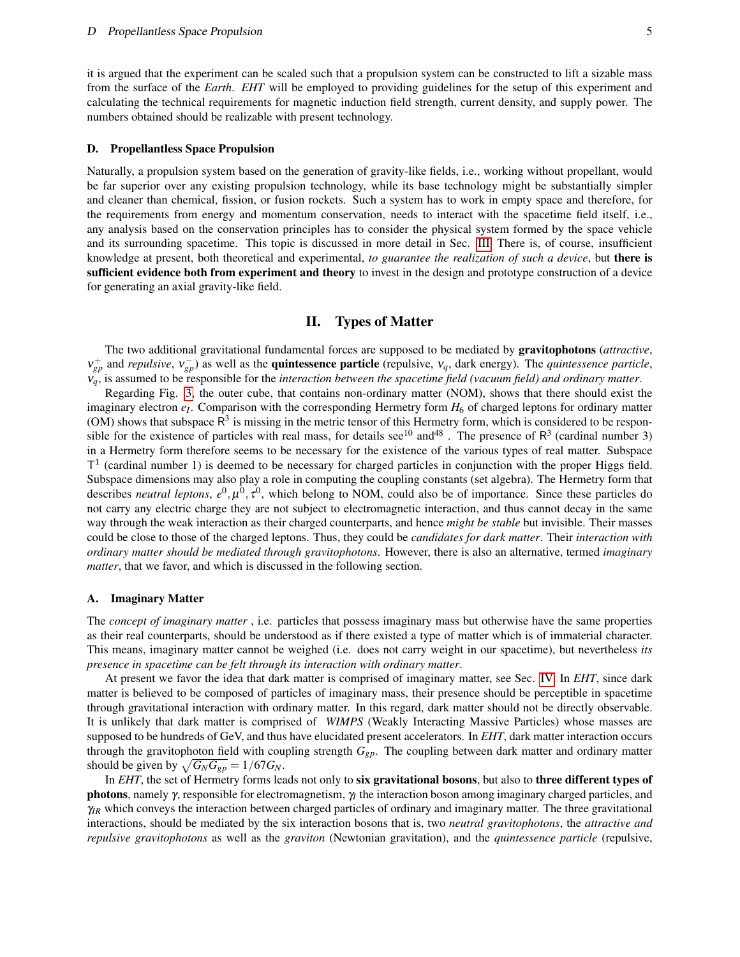it is argued that the experiment can be scaled such that a propulsion system can be constructed to lift a sizable mass from the surface of the *Earth*. *EHT* will be employed to providing guidelines for the setup of this experiment and calculating the technical requirements for magnetic induction field strength, current density, and supply power. The numbers obtained should be realizable with present technology.

#### D. Propellantless Space Propulsion

Naturally, a propulsion system based on the generation of gravity-like fields, i.e., working without propellant, would be far superior over any existing propulsion technology, while its base technology might be substantially simpler and cleaner than chemical, fission, or fusion rockets. Such a system has to work in empty space and therefore, for the requirements from energy and momentum conservation, needs to interact with the spacetime field itself, i.e., any analysis based on the conservation principles has to consider the physical system formed by the space vehicle and its surrounding spacetime. This topic is discussed in more detail in Sec. [III.](#page-7-0) There is, of course, insufficient knowledge at present, both theoretical and experimental, *to guarantee the realization of such a device*, but there is sufficient evidence both from experiment and theory to invest in the design and prototype construction of a device for generating an axial gravity-like field.

# II. Types of Matter

The two additional gravitational fundamental forces are supposed to be mediated by gravitophotons (*attractive*,  $v_{gp}^+$  and *repulsive*,  $v_{gp}^-$ ) as well as the **quintessence particle** (repulsive,  $v_q$ , dark energy). The *quintessence particle*, ν*q*, is assumed to be responsible for the *interaction between the spacetime field (vacuum field) and ordinary matter*.

Regarding Fig. [3,](#page-6-0) the outer cube, that contains non-ordinary matter (NOM), shows that there should exist the imaginary electron  $e_I$ . Comparison with the corresponding Hermetry form  $H_6$  of charged leptons for ordinary matter (OM) shows that subspace  $R^3$  is missing in the metric tensor of this Hermetry form, which is considered to be responsible for the existence of particles with real mass, for details see<sup>10</sup> and<sup>48</sup>. The presence of  $R^3$  (cardinal number 3) in a Hermetry form therefore seems to be necessary for the existence of the various types of real matter. Subspace T<sup>1</sup> (cardinal number 1) is deemed to be necessary for charged particles in conjunction with the proper Higgs field. Subspace dimensions may also play a role in computing the coupling constants (set algebra). The Hermetry form that describes *neutral leptons*,  $e^0$ ,  $\mu^0$ ,  $\tau^0$ , which belong to NOM, could also be of importance. Since these particles do not carry any electric charge they are not subject to electromagnetic interaction, and thus cannot decay in the same way through the weak interaction as their charged counterparts, and hence *might be stable* but invisible. Their masses could be close to those of the charged leptons. Thus, they could be *candidates for dark matter*. Their *interaction with ordinary matter should be mediated through gravitophotons*. However, there is also an alternative, termed *imaginary matter*, that we favor, and which is discussed in the following section.

#### A. Imaginary Matter

The *concept of imaginary matter* , i.e. particles that possess imaginary mass but otherwise have the same properties as their real counterparts, should be understood as if there existed a type of matter which is of immaterial character. This means, imaginary matter cannot be weighed (i.e. does not carry weight in our spacetime), but nevertheless *its presence in spacetime can be felt through its interaction with ordinary matter*.

At present we favor the idea that dark matter is comprised of imaginary matter, see Sec. [IV.](#page-9-0) In *EHT*, since dark matter is believed to be composed of particles of imaginary mass, their presence should be perceptible in spacetime through gravitational interaction with ordinary matter. In this regard, dark matter should not be directly observable. It is unlikely that dark matter is comprised of *WIMPS* (Weakly Interacting Massive Particles) whose masses are supposed to be hundreds of GeV, and thus have elucidated present accelerators. In *EHT*, dark matter interaction occurs through the gravitophoton field with coupling strength *Ggp*. The coupling between dark matter and ordinary matter should be given by  $\sqrt{G_N G_{gp}} = 1/67 G_N$ .

In *EHT*, the set of Hermetry forms leads not only to six gravitational bosons, but also to three different types of photons, namely γ, responsible for electromagnetism, γ*<sup>I</sup>* the interaction boson among imaginary charged particles, and γ*IR* which conveys the interaction between charged particles of ordinary and imaginary matter. The three gravitational interactions, should be mediated by the six interaction bosons that is, two *neutral gravitophotons*, the *attractive and repulsive gravitophotons* as well as the *graviton* (Newtonian gravitation), and the *quintessence particle* (repulsive,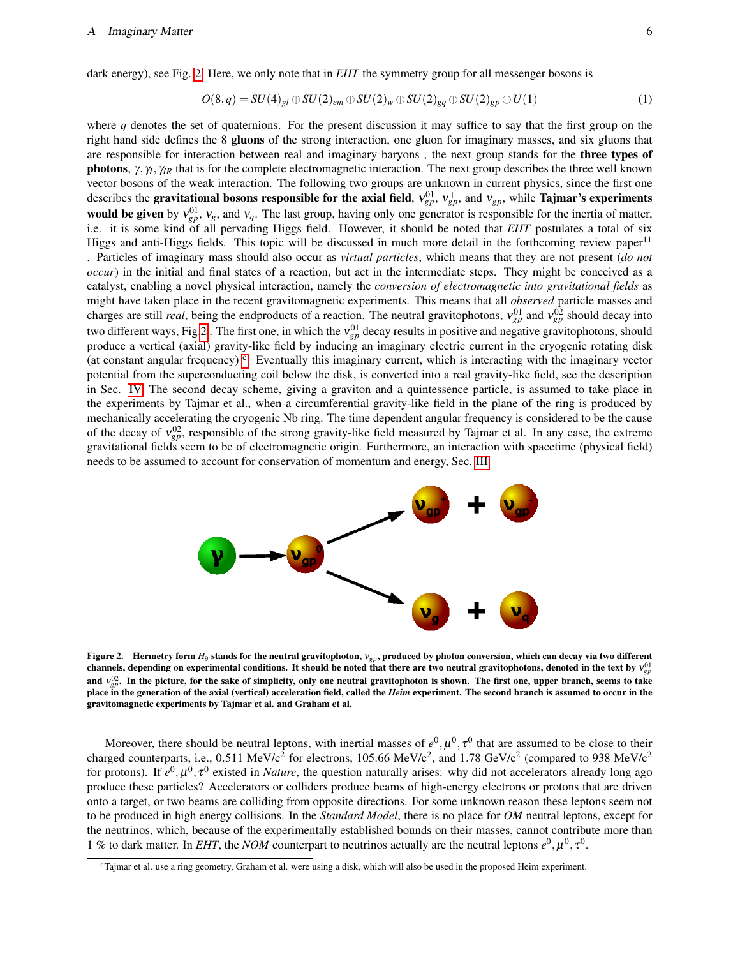$$
O(8,q) = SU(4)_{gl} \oplus SU(2)_{em} \oplus SU(2)_w \oplus SU(2)_{gq} \oplus SU(2)_{gp} \oplus U(1)
$$
\n
$$
(1)
$$

where  $q$  denotes the set of quaternions. For the present discussion it may suffice to say that the first group on the right hand side defines the 8 gluons of the strong interaction, one gluon for imaginary masses, and six gluons that are responsible for interaction between real and imaginary baryons, the next group stands for the **three types of photons**,  $\gamma$ ,  $\gamma$ <sub>*R*</sub> that is for the complete electromagnetic interaction. The next group describes the three well known vector bosons of the weak interaction. The following two groups are unknown in current physics, since the first one describes the gravitational bosons responsible for the axial field,  $v_{gp}^{01}$ ,  $v_{gp}^+$ , and  $v_{gp}^-$ , while Tajmar's experiments **would be given** by  $v_{gp}^{01}$ ,  $v_g$ , and  $v_q$ . The last group, having only one generator is responsible for the inertia of matter, i.e. it is some kind of all pervading Higgs field. However, it should be noted that *EHT* postulates a total of six Higgs and anti-Higgs fields. This topic will be discussed in much more detail in the forthcoming review paper<sup>11</sup> . Particles of imaginary mass should also occur as *virtual particles*, which means that they are not present (*do not occur*) in the initial and final states of a reaction, but act in the intermediate steps. They might be conceived as a catalyst, enabling a novel physical interaction, namely the *conversion of electromagnetic into gravitational fields* as might have taken place in the recent gravitomagnetic experiments. This means that all *observed* particle masses and charges are still *real*, being the endproducts of a reaction. The neutral gravitophotons,  $v_{gp}^{01}$  and  $v_{gp}^{02}$  should decay into two different ways, Fig[.2](#page-5-0). The first one, in which the  $v_{gp}^{01}$  decay results in positive and negative gravitophotons, should produce a vertical (axial) gravity-like field by inducing an imaginary electric current in the cryogenic rotating disk (at [c](#page-5-1)onstant angular frequency)<sup>c</sup>. Eventually this imaginary current, which is interacting with the imaginary vector potential from the superconducting coil below the disk, is converted into a real gravity-like field, see the description in Sec. [IV.](#page-9-0) The second decay scheme, giving a graviton and a quintessence particle, is assumed to take place in the experiments by Tajmar et al., when a circumferential gravity-like field in the plane of the ring is produced by mechanically accelerating the cryogenic Nb ring. The time dependent angular frequency is considered to be the cause of the decay of  $v_{gp}^{02}$ , responsible of the strong gravity-like field measured by Tajmar et al. In any case, the extreme gravitational fields seem to be of electromagnetic origin. Furthermore, an interaction with spacetime (physical field) needs to be assumed to account for conservation of momentum and energy, Sec. [III.](#page-7-0)



<span id="page-5-0"></span>Figure 2. Hermetry form *H*<sup>9</sup> stands for the neutral gravitophoton, ν*gp*, produced by photon conversion, which can decay via two different channels, depending on experimental conditions. It should be noted that there are two neutral gravitophotons, denoted in the text by ν<sup>gp</sup> and  $v_{gp}^{02}$ . In the picture, for the sake of simplicity, only one neutral gravitophoton is shown. The first one, upper branch, seems to take place in the generation of the axial (vertical) acceleration field, called the *Heim* experiment. The second branch is assumed to occur in the gravitomagnetic experiments by Tajmar et al. and Graham et al.

Moreover, there should be neutral leptons, with inertial masses of  $e^0, \mu^0, \tau^0$  that are assumed to be close to their charged counterparts, i.e., 0.511 MeV/c<sup>2</sup> for electrons, 105.66 MeV/c<sup>2</sup>, and 1.78 GeV/c<sup>2</sup> (compared to 938 MeV/c<sup>2</sup>) for protons). If  $e^0$ ,  $\mu^0$ ,  $\tau^0$  existed in *Nature*, the question naturally arises: why did not accelerators already long ago produce these particles? Accelerators or colliders produce beams of high-energy electrons or protons that are driven onto a target, or two beams are colliding from opposite directions. For some unknown reason these leptons seem not to be produced in high energy collisions. In the *Standard Model*, there is no place for *OM* neutral leptons, except for the neutrinos, which, because of the experimentally established bounds on their masses, cannot contribute more than 1 % to dark matter. In *EHT*, the *NOM* counterpart to neutrinos actually are the neutral leptons  $e^0, \mu^0, \tau^0$ .

<span id="page-5-1"></span><sup>c</sup>Tajmar et al. use a ring geometry, Graham et al. were using a disk, which will also be used in the proposed Heim experiment.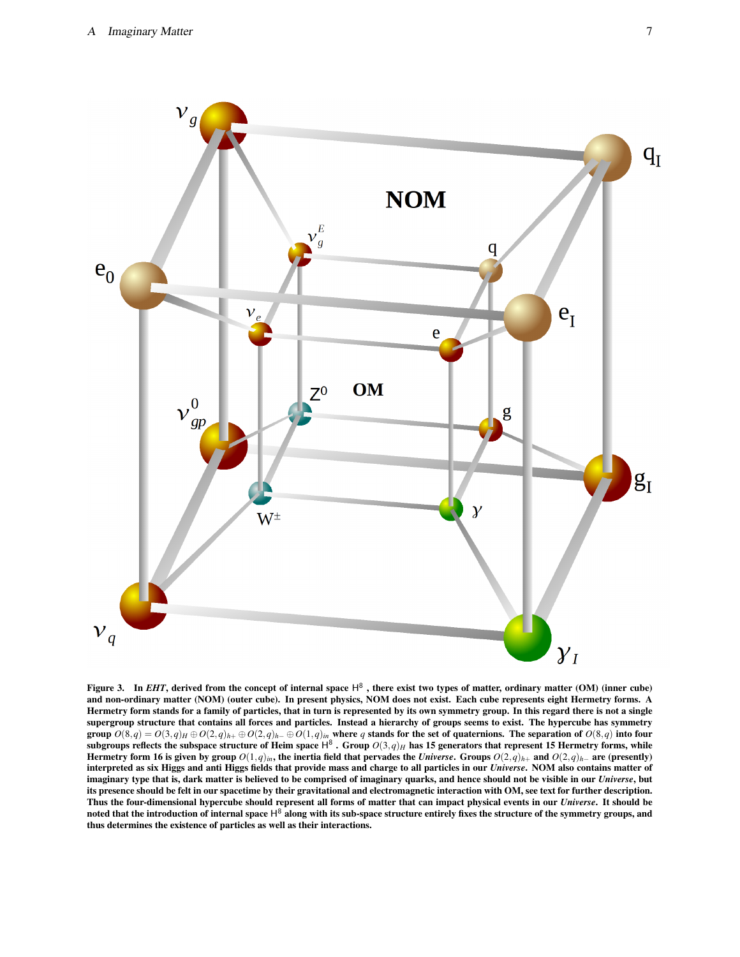

<span id="page-6-0"></span>Figure 3. In *EHT*, derived from the concept of internal space  $H^8$ , there exist two types of matter, ordinary matter (OM) (inner cube) and non-ordinary matter (NOM) (outer cube). In present physics, NOM does not exist. Each cube represents eight Hermetry forms. A Hermetry form stands for a family of particles, that in turn is represented by its own symmetry group. In this regard there is not a single supergroup structure that contains all forces and particles. Instead a hierarchy of groups seems to exist. The hypercube has symmetry group  $O(8,q)=O(3,q)_H\oplus O(2,q)_{h+}\oplus O(2,q)_{h-}\oplus O(1,q)_{in}$  where  $q$  stands for the set of quaternions. The separation of  $O(8,q)$  into four subgroups reflects the subspace structure of Heim space H<sup>8</sup> . Group  $O(3,q)_H$  has 15 generators that represent 15 Hermetry forms, while Hermetry form 16 is given by group  $O(1,q)_{in}$ , the inertia field that pervades the *Universe*. Groups  $O(2,q)_{h+}$  and  $O(2,q)_{h-}$  are (presently) interpreted as six Higgs and anti Higgs fields that provide mass and charge to all particles in our *Universe*. NOM also contains matter of imaginary type that is, dark matter is believed to be comprised of imaginary quarks, and hence should not be visible in our *Universe*, but its presence should be felt in our spacetime by their gravitational and electromagnetic interaction with OM, see text for further description. Thus the four-dimensional hypercube should represent all forms of matter that can impact physical events in our *Universe*. It should be noted that the introduction of internal space  $H^8$  along with its sub-space structure entirely fixes the structure of the symmetry groups, and thus determines the existence of particles as well as their interactions.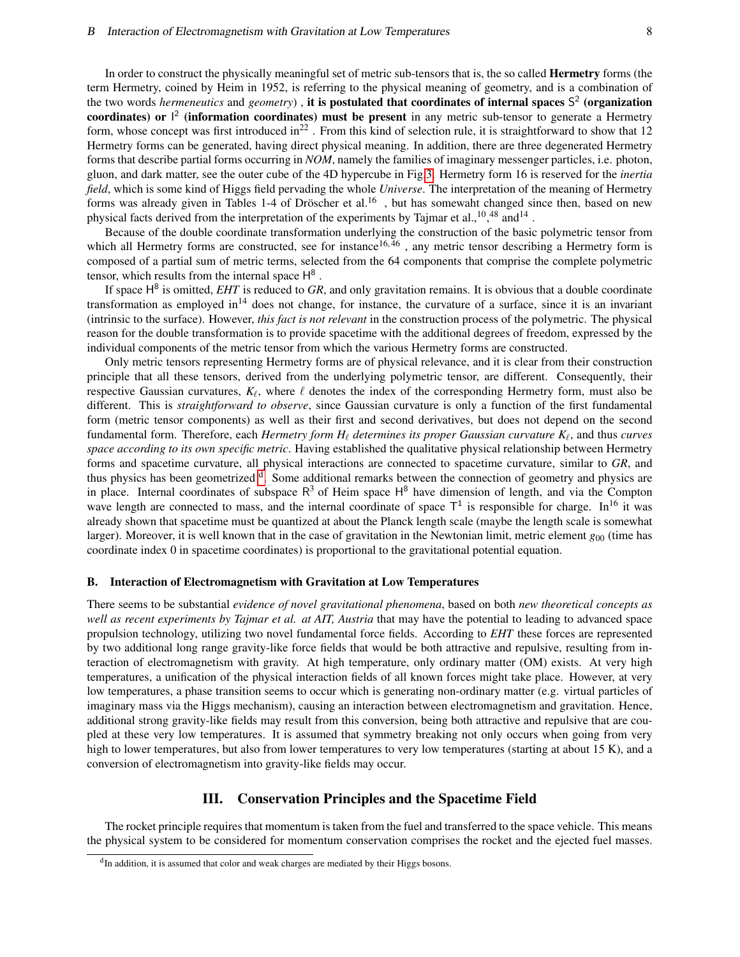In order to construct the physically meaningful set of metric sub-tensors that is, the so called Hermetry forms (the term Hermetry, coined by Heim in 1952, is referring to the physical meaning of geometry, and is a combination of the two words *hermeneutics* and *geometry*), it is postulated that coordinates of internal spaces S<sup>2</sup> (organization coordinates) or  $l^2$  (information coordinates) must be present in any metric sub-tensor to generate a Hermetry form, whose concept was first introduced in<sup>22</sup>. From this kind of selection rule, it is straightforward to show that 12 Hermetry forms can be generated, having direct physical meaning. In addition, there are three degenerated Hermetry forms that describe partial forms occurring in *NOM*, namely the families of imaginary messenger particles, i.e. photon, gluon, and dark matter, see the outer cube of the 4D hypercube in Fig[.3.](#page-6-0) Hermetry form 16 is reserved for the *inertia field*, which is some kind of Higgs field pervading the whole *Universe*. The interpretation of the meaning of Hermetry forms was already given in Tables 1-4 of Dröscher et al.<sup>16</sup>, but has somewaht changed since then, based on new physical facts derived from the interpretation of the experiments by Tajmar et al.,<sup>10</sup>,<sup>48</sup> and<sup>14</sup>.

Because of the double coordinate transformation underlying the construction of the basic polymetric tensor from which all Hermetry forms are constructed, see for instance<sup>16,46</sup>, any metric tensor describing a Hermetry form is composed of a partial sum of metric terms, selected from the 64 components that comprise the complete polymetric tensor, which results from the internal space  $H^8$ .

If space H<sup>8</sup> is omitted, *EHT* is reduced to *GR*, and only gravitation remains. It is obvious that a double coordinate transformation as employed in<sup>14</sup> does not change, for instance, the curvature of a surface, since it is an invariant (intrinsic to the surface). However, *this fact is not relevant* in the construction process of the polymetric. The physical reason for the double transformation is to provide spacetime with the additional degrees of freedom, expressed by the individual components of the metric tensor from which the various Hermetry forms are constructed.

Only metric tensors representing Hermetry forms are of physical relevance, and it is clear from their construction principle that all these tensors, derived from the underlying polymetric tensor, are different. Consequently, their respective Gaussian curvatures,  $K_\ell$ , where  $\ell$  denotes the index of the corresponding Hermetry form, must also be different. This is *straightforward to observe*, since Gaussian curvature is only a function of the first fundamental form (metric tensor components) as well as their first and second derivatives, but does not depend on the second fundamental form. Therefore, each *Hermetry form H*<sub> $\ell$ </sub> *determines its proper Gaussian curvature K*<sub> $\ell$ </sub>, and thus *curves space according to its own specific metric*. Having established the qualitative physical relationship between Hermetry forms and spacetime curvature, all physical interactions are connected to spacetime curvature, similar to *GR*, and thus physics has been geometrize[d](#page-7-1) <sup>d</sup>. Some additional remarks between the connection of geometry and physics are in place. Internal coordinates of subspace  $R^3$  of Heim space  $H^8$  have dimension of length, and via the Compton wave length are connected to mass, and the internal coordinate of space  $T^1$  is responsible for charge. In<sup>16</sup> it was already shown that spacetime must be quantized at about the Planck length scale (maybe the length scale is somewhat larger). Moreover, it is well known that in the case of gravitation in the Newtonian limit, metric element  $g_{00}$  (time has coordinate index 0 in spacetime coordinates) is proportional to the gravitational potential equation.

#### B. Interaction of Electromagnetism with Gravitation at Low Temperatures

There seems to be substantial *evidence of novel gravitational phenomena*, based on both *new theoretical concepts as well as recent experiments by Tajmar et al. at AIT, Austria* that may have the potential to leading to advanced space propulsion technology, utilizing two novel fundamental force fields. According to *EHT* these forces are represented by two additional long range gravity-like force fields that would be both attractive and repulsive, resulting from interaction of electromagnetism with gravity. At high temperature, only ordinary matter (OM) exists. At very high temperatures, a unification of the physical interaction fields of all known forces might take place. However, at very low temperatures, a phase transition seems to occur which is generating non-ordinary matter (e.g. virtual particles of imaginary mass via the Higgs mechanism), causing an interaction between electromagnetism and gravitation. Hence, additional strong gravity-like fields may result from this conversion, being both attractive and repulsive that are coupled at these very low temperatures. It is assumed that symmetry breaking not only occurs when going from very high to lower temperatures, but also from lower temperatures to very low temperatures (starting at about 15 K), and a conversion of electromagnetism into gravity-like fields may occur.

# III. Conservation Principles and the Spacetime Field

<span id="page-7-0"></span>The rocket principle requires that momentum is taken from the fuel and transferred to the space vehicle. This means the physical system to be considered for momentum conservation comprises the rocket and the ejected fuel masses.

<span id="page-7-1"></span><sup>&</sup>lt;sup>d</sup>In addition, it is assumed that color and weak charges are mediated by their Higgs bosons.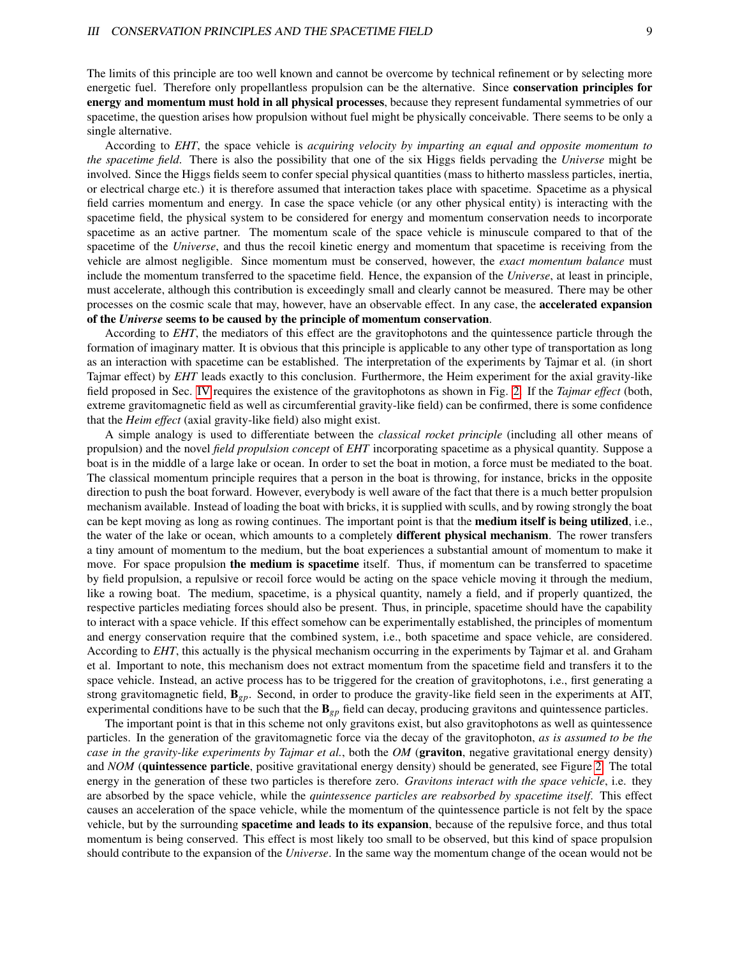The limits of this principle are too well known and cannot be overcome by technical refinement or by selecting more energetic fuel. Therefore only propellantless propulsion can be the alternative. Since conservation principles for energy and momentum must hold in all physical processes, because they represent fundamental symmetries of our spacetime, the question arises how propulsion without fuel might be physically conceivable. There seems to be only a single alternative.

According to *EHT*, the space vehicle is *acquiring velocity by imparting an equal and opposite momentum to the spacetime field*. There is also the possibility that one of the six Higgs fields pervading the *Universe* might be involved. Since the Higgs fields seem to confer special physical quantities (mass to hitherto massless particles, inertia, or electrical charge etc.) it is therefore assumed that interaction takes place with spacetime. Spacetime as a physical field carries momentum and energy. In case the space vehicle (or any other physical entity) is interacting with the spacetime field, the physical system to be considered for energy and momentum conservation needs to incorporate spacetime as an active partner. The momentum scale of the space vehicle is minuscule compared to that of the spacetime of the *Universe*, and thus the recoil kinetic energy and momentum that spacetime is receiving from the vehicle are almost negligible. Since momentum must be conserved, however, the *exact momentum balance* must include the momentum transferred to the spacetime field. Hence, the expansion of the *Universe*, at least in principle, must accelerate, although this contribution is exceedingly small and clearly cannot be measured. There may be other processes on the cosmic scale that may, however, have an observable effect. In any case, the accelerated expansion of the *Universe* seems to be caused by the principle of momentum conservation.

According to *EHT*, the mediators of this effect are the gravitophotons and the quintessence particle through the formation of imaginary matter. It is obvious that this principle is applicable to any other type of transportation as long as an interaction with spacetime can be established. The interpretation of the experiments by Tajmar et al. (in short Tajmar effect) by *EHT* leads exactly to this conclusion. Furthermore, the Heim experiment for the axial gravity-like field proposed in Sec. [IV](#page-9-0) requires the existence of the gravitophotons as shown in Fig. [2.](#page-5-0) If the *Tajmar effect* (both, extreme gravitomagnetic field as well as circumferential gravity-like field) can be confirmed, there is some confidence that the *Heim effect* (axial gravity-like field) also might exist.

A simple analogy is used to differentiate between the *classical rocket principle* (including all other means of propulsion) and the novel *field propulsion concept* of *EHT* incorporating spacetime as a physical quantity. Suppose a boat is in the middle of a large lake or ocean. In order to set the boat in motion, a force must be mediated to the boat. The classical momentum principle requires that a person in the boat is throwing, for instance, bricks in the opposite direction to push the boat forward. However, everybody is well aware of the fact that there is a much better propulsion mechanism available. Instead of loading the boat with bricks, it is supplied with sculls, and by rowing strongly the boat can be kept moving as long as rowing continues. The important point is that the **medium itself is being utilized**, i.e., the water of the lake or ocean, which amounts to a completely **different physical mechanism**. The rower transfers a tiny amount of momentum to the medium, but the boat experiences a substantial amount of momentum to make it move. For space propulsion the medium is spacetime itself. Thus, if momentum can be transferred to spacetime by field propulsion, a repulsive or recoil force would be acting on the space vehicle moving it through the medium, like a rowing boat. The medium, spacetime, is a physical quantity, namely a field, and if properly quantized, the respective particles mediating forces should also be present. Thus, in principle, spacetime should have the capability to interact with a space vehicle. If this effect somehow can be experimentally established, the principles of momentum and energy conservation require that the combined system, i.e., both spacetime and space vehicle, are considered. According to *EHT*, this actually is the physical mechanism occurring in the experiments by Tajmar et al. and Graham et al. Important to note, this mechanism does not extract momentum from the spacetime field and transfers it to the space vehicle. Instead, an active process has to be triggered for the creation of gravitophotons, i.e., first generating a strong gravitomagnetic field, B*gp*. Second, in order to produce the gravity-like field seen in the experiments at AIT, experimental conditions have to be such that the B*gp* field can decay, producing gravitons and quintessence particles.

The important point is that in this scheme not only gravitons exist, but also gravitophotons as well as quintessence particles. In the generation of the gravitomagnetic force via the decay of the gravitophoton, *as is assumed to be the case in the gravity-like experiments by Tajmar et al.*, both the *OM* (graviton, negative gravitational energy density) and *NOM* (quintessence particle, positive gravitational energy density) should be generated, see Figure [2.](#page-5-0) The total energy in the generation of these two particles is therefore zero. *Gravitons interact with the space vehicle*, i.e. they are absorbed by the space vehicle, while the *quintessence particles are reabsorbed by spacetime itself*. This effect causes an acceleration of the space vehicle, while the momentum of the quintessence particle is not felt by the space vehicle, but by the surrounding spacetime and leads to its expansion, because of the repulsive force, and thus total momentum is being conserved. This effect is most likely too small to be observed, but this kind of space propulsion should contribute to the expansion of the *Universe*. In the same way the momentum change of the ocean would not be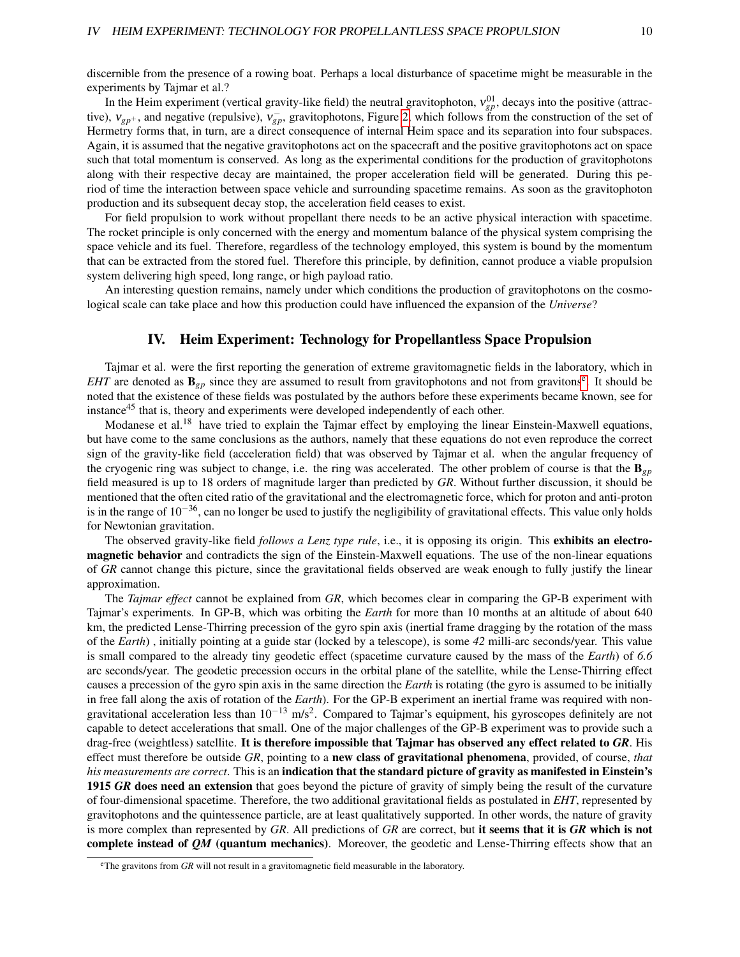discernible from the presence of a rowing boat. Perhaps a local disturbance of spacetime might be measurable in the experiments by Tajmar et al.?

In the Heim experiment (vertical gravity-like field) the neutral gravitophoton,  $v_{gp}^{01}$ , decays into the positive (attractive),  $v_{gp^+}$ , and negative (repulsive),  $v_{gp}^-$ , gravitophotons, Figure [2,](#page-5-0) which follows from the construction of the set of Hermetry forms that, in turn, are a direct consequence of internal Heim space and its separation into four subspaces. Again, it is assumed that the negative gravitophotons act on the spacecraft and the positive gravitophotons act on space such that total momentum is conserved. As long as the experimental conditions for the production of gravitophotons along with their respective decay are maintained, the proper acceleration field will be generated. During this period of time the interaction between space vehicle and surrounding spacetime remains. As soon as the gravitophoton production and its subsequent decay stop, the acceleration field ceases to exist.

For field propulsion to work without propellant there needs to be an active physical interaction with spacetime. The rocket principle is only concerned with the energy and momentum balance of the physical system comprising the space vehicle and its fuel. Therefore, regardless of the technology employed, this system is bound by the momentum that can be extracted from the stored fuel. Therefore this principle, by definition, cannot produce a viable propulsion system delivering high speed, long range, or high payload ratio.

An interesting question remains, namely under which conditions the production of gravitophotons on the cosmological scale can take place and how this production could have influenced the expansion of the *Universe*?

# IV. Heim Experiment: Technology for Propellantless Space Propulsion

<span id="page-9-0"></span>Tajmar et al. were the first reporting the generation of extreme gravitomagnetic fields in the laboratory, which in *EHT* ar[e](#page-9-1) denoted as  $\mathbf{B}_{gp}$  since they are assumed to result from gravitophotons and not from gravitons<sup>e</sup>. It should be noted that the existence of these fields was postulated by the authors before these experiments became known, see for instance<sup>45</sup> that is, theory and experiments were developed independently of each other.

Modanese et al.<sup>18</sup> have tried to explain the Tajmar effect by employing the linear Einstein-Maxwell equations, but have come to the same conclusions as the authors, namely that these equations do not even reproduce the correct sign of the gravity-like field (acceleration field) that was observed by Tajmar et al. when the angular frequency of the cryogenic ring was subject to change, i.e. the ring was accelerated. The other problem of course is that the  $\mathbf{B}_{ep}$ field measured is up to 18 orders of magnitude larger than predicted by *GR*. Without further discussion, it should be mentioned that the often cited ratio of the gravitational and the electromagnetic force, which for proton and anti-proton is in the range of  $10^{-36}$ , can no longer be used to justify the negligibility of gravitational effects. This value only holds for Newtonian gravitation.

The observed gravity-like field *follows a Lenz type rule*, i.e., it is opposing its origin. This exhibits an electromagnetic behavior and contradicts the sign of the Einstein-Maxwell equations. The use of the non-linear equations of *GR* cannot change this picture, since the gravitational fields observed are weak enough to fully justify the linear approximation.

The *Tajmar effect* cannot be explained from *GR*, which becomes clear in comparing the GP-B experiment with Tajmar's experiments. In GP-B, which was orbiting the *Earth* for more than 10 months at an altitude of about 640 km, the predicted Lense-Thirring precession of the gyro spin axis (inertial frame dragging by the rotation of the mass of the *Earth*) , initially pointing at a guide star (locked by a telescope), is some *42* milli-arc seconds/year. This value is small compared to the already tiny geodetic effect (spacetime curvature caused by the mass of the *Earth*) of *6.6* arc seconds/year. The geodetic precession occurs in the orbital plane of the satellite, while the Lense-Thirring effect causes a precession of the gyro spin axis in the same direction the *Earth* is rotating (the gyro is assumed to be initially in free fall along the axis of rotation of the *Earth*). For the GP-B experiment an inertial frame was required with nongravitational acceleration less than  $10^{-13}$  m/s<sup>2</sup>. Compared to Tajmar's equipment, his gyroscopes definitely are not capable to detect accelerations that small. One of the major challenges of the GP-B experiment was to provide such a drag-free (weightless) satellite. It is therefore impossible that Tajmar has observed any effect related to *GR*. His effect must therefore be outside *GR*, pointing to a new class of gravitational phenomena, provided, of course, *that his measurements are correct*. This is an indication that the standard picture of gravity as manifested in Einstein's 1915 *GR* does need an extension that goes beyond the picture of gravity of simply being the result of the curvature of four-dimensional spacetime. Therefore, the two additional gravitational fields as postulated in *EHT*, represented by gravitophotons and the quintessence particle, are at least qualitatively supported. In other words, the nature of gravity is more complex than represented by *GR*. All predictions of *GR* are correct, but it seems that it is *GR* which is not complete instead of *QM* (quantum mechanics). Moreover, the geodetic and Lense-Thirring effects show that an

<span id="page-9-1"></span><sup>e</sup>The gravitons from *GR* will not result in a gravitomagnetic field measurable in the laboratory.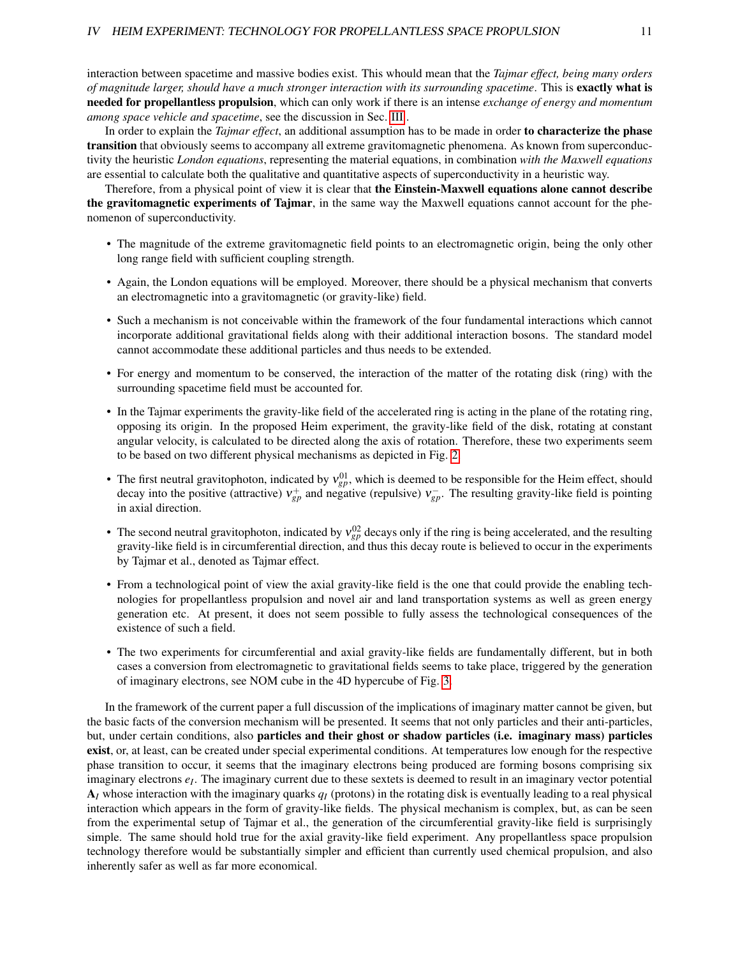interaction between spacetime and massive bodies exist. This whould mean that the *Tajmar effect, being many orders of magnitude larger, should have a much stronger interaction with its surrounding spacetime*. This is exactly what is needed for propellantless propulsion, which can only work if there is an intense *exchange of energy and momentum among space vehicle and spacetime*, see the discussion in Sec. [III](#page-7-0) .

In order to explain the *Tajmar effect*, an additional assumption has to be made in order to characterize the phase transition that obviously seems to accompany all extreme gravitomagnetic phenomena. As known from superconductivity the heuristic *London equations*, representing the material equations, in combination *with the Maxwell equations* are essential to calculate both the qualitative and quantitative aspects of superconductivity in a heuristic way.

Therefore, from a physical point of view it is clear that the Einstein-Maxwell equations alone cannot describe the gravitomagnetic experiments of Tajmar, in the same way the Maxwell equations cannot account for the phenomenon of superconductivity.

- The magnitude of the extreme gravitomagnetic field points to an electromagnetic origin, being the only other long range field with sufficient coupling strength.
- Again, the London equations will be employed. Moreover, there should be a physical mechanism that converts an electromagnetic into a gravitomagnetic (or gravity-like) field.
- Such a mechanism is not conceivable within the framework of the four fundamental interactions which cannot incorporate additional gravitational fields along with their additional interaction bosons. The standard model cannot accommodate these additional particles and thus needs to be extended.
- For energy and momentum to be conserved, the interaction of the matter of the rotating disk (ring) with the surrounding spacetime field must be accounted for.
- In the Tajmar experiments the gravity-like field of the accelerated ring is acting in the plane of the rotating ring, opposing its origin. In the proposed Heim experiment, the gravity-like field of the disk, rotating at constant angular velocity, is calculated to be directed along the axis of rotation. Therefore, these two experiments seem to be based on two different physical mechanisms as depicted in Fig. [2.](#page-5-0)
- The first neutral gravitophoton, indicated by  $v_{gp}^{01}$ , which is deemed to be responsible for the Heim effect, should decay into the positive (attractive)  $v_{gp}^+$  and negative (repulsive)  $v_{gp}^-$ . The resulting gravity-like field is pointing in axial direction.
- The second neutral gravitophoton, indicated by  $v_{gp}^{02}$  decays only if the ring is being accelerated, and the resulting gravity-like field is in circumferential direction, and thus this decay route is believed to occur in the experiments by Tajmar et al., denoted as Tajmar effect.
- From a technological point of view the axial gravity-like field is the one that could provide the enabling technologies for propellantless propulsion and novel air and land transportation systems as well as green energy generation etc. At present, it does not seem possible to fully assess the technological consequences of the existence of such a field.
- The two experiments for circumferential and axial gravity-like fields are fundamentally different, but in both cases a conversion from electromagnetic to gravitational fields seems to take place, triggered by the generation of imaginary electrons, see NOM cube in the 4D hypercube of Fig. [3.](#page-6-0)

In the framework of the current paper a full discussion of the implications of imaginary matter cannot be given, but the basic facts of the conversion mechanism will be presented. It seems that not only particles and their anti-particles, but, under certain conditions, also particles and their ghost or shadow particles (i.e. imaginary mass) particles exist, or, at least, can be created under special experimental conditions. At temperatures low enough for the respective phase transition to occur, it seems that the imaginary electrons being produced are forming bosons comprising six imaginary electrons *e<sup>I</sup>* . The imaginary current due to these sextets is deemed to result in an imaginary vector potential A*<sup>I</sup>* whose interaction with the imaginary quarks *q<sup>I</sup>* (protons) in the rotating disk is eventually leading to a real physical interaction which appears in the form of gravity-like fields. The physical mechanism is complex, but, as can be seen from the experimental setup of Tajmar et al., the generation of the circumferential gravity-like field is surprisingly simple. The same should hold true for the axial gravity-like field experiment. Any propellantless space propulsion technology therefore would be substantially simpler and efficient than currently used chemical propulsion, and also inherently safer as well as far more economical.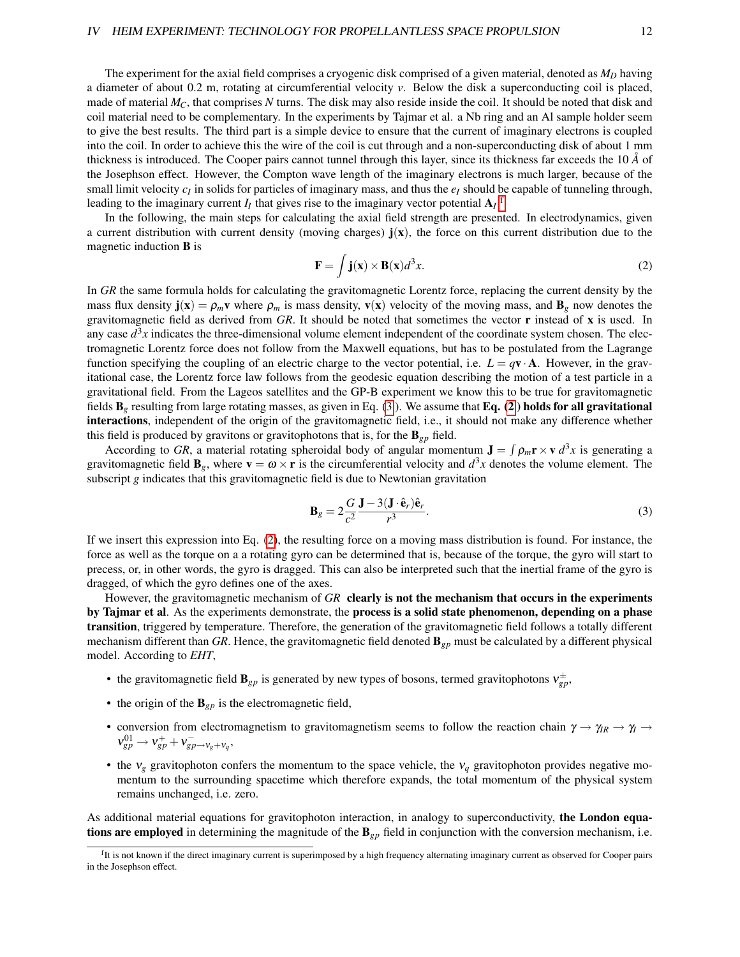The experiment for the axial field comprises a cryogenic disk comprised of a given material, denoted as  $M_D$  having a diameter of about 0.2 m, rotating at circumferential velocity *v*. Below the disk a superconducting coil is placed, made of material *MC*, that comprises *N* turns. The disk may also reside inside the coil. It should be noted that disk and coil material need to be complementary. In the experiments by Tajmar et al. a Nb ring and an Al sample holder seem to give the best results. The third part is a simple device to ensure that the current of imaginary electrons is coupled into the coil. In order to achieve this the wire of the coil is cut through and a non-superconducting disk of about 1 mm thickness is introduced. The Cooper pairs cannot tunnel through this layer, since its thickness far exceeds the  $10 \AA$  of the Josephson effect. However, the Compton wave length of the imaginary electrons is much larger, because of the small limit velocity  $c_I$  in solids for particles of imaginary mass, and thus the  $e_I$  should be capable of tunneling through, leading to the imaginary current  $I_I$  that gives rise to the imaginary vector potential  $A_I$ <sup>[f](#page-11-0)</sup>.

In the following, the main steps for calculating the axial field strength are presented. In electrodynamics, given a current distribution with current density (moving charges)  $\mathbf{j}(x)$ , the force on this current distribution due to the magnetic induction B is

<span id="page-11-2"></span>
$$
\mathbf{F} = \int \mathbf{j}(\mathbf{x}) \times \mathbf{B}(\mathbf{x}) d^3 x. \tag{2}
$$

In *GR* the same formula holds for calculating the gravitomagnetic Lorentz force, replacing the current density by the mass flux density  $\mathbf{j}(\mathbf{x}) = \rho_m \mathbf{v}$  where  $\rho_m$  is mass density,  $\mathbf{v}(\mathbf{x})$  velocity of the moving mass, and  $\mathbf{B}_g$  now denotes the gravitomagnetic field as derived from *GR*. It should be noted that sometimes the vector r instead of x is used. In any case  $d^3x$  indicates the three-dimensional volume element independent of the coordinate system chosen. The electromagnetic Lorentz force does not follow from the Maxwell equations, but has to be postulated from the Lagrange function specifying the coupling of an electric charge to the vector potential, i.e.  $L = qv \cdot A$ . However, in the gravitational case, the Lorentz force law follows from the geodesic equation describing the motion of a test particle in a gravitational field. From the Lageos satellites and the GP-B experiment we know this to be true for gravitomagnetic fields  $\mathbf{B}_g$  resulting from large rotating masses, as given in Eq. [\(3](#page-11-1)). We assume that Eq. [\(2](#page-11-2)) holds for all gravitational interactions, independent of the origin of the gravitomagnetic field, i.e., it should not make any difference whether this field is produced by gravitons or gravitophotons that is, for the  $\mathbf{B}_{gp}$  field.

According to GR, a material rotating spheroidal body of angular momentum  $\mathbf{J} = \int \rho_m \mathbf{r} \times \mathbf{v} d^3x$  is generating a gravitomagnetic field  $\mathbf{B}_g$ , where  $\mathbf{v} = \boldsymbol{\omega} \times \mathbf{r}$  is the circumferential velocity and  $d^3x$  denotes the volume element. The subscript *g* indicates that this gravitomagnetic field is due to Newtonian gravitation

<span id="page-11-1"></span>
$$
\mathbf{B}_g = 2\frac{G}{c^2} \frac{\mathbf{J} - 3(\mathbf{J} \cdot \hat{\mathbf{e}}_r)\hat{\mathbf{e}}_r}{r^3}.
$$
 (3)

If we insert this expression into Eq. [\(2\)](#page-11-2), the resulting force on a moving mass distribution is found. For instance, the force as well as the torque on a a rotating gyro can be determined that is, because of the torque, the gyro will start to precess, or, in other words, the gyro is dragged. This can also be interpreted such that the inertial frame of the gyro is dragged, of which the gyro defines one of the axes.

However, the gravitomagnetic mechanism of *GR* clearly is not the mechanism that occurs in the experiments by Tajmar et al. As the experiments demonstrate, the process is a solid state phenomenon, depending on a phase transition, triggered by temperature. Therefore, the generation of the gravitomagnetic field follows a totally different mechanism different than *GR*. Hence, the gravitomagnetic field denoted B*gp* must be calculated by a different physical model. According to *EHT*,

- the gravitomagnetic field  $\mathbf{B}_{gp}$  is generated by new types of bosons, termed gravitophotons  $v_{gp}^{\pm}$ ,
- the origin of the  $\mathbf{B}_{gp}$  is the electromagnetic field,
- conversion from electromagnetism to gravitomagnetism seems to follow the reaction chain  $\gamma \to \gamma_R \to \gamma \to \gamma$  $v_{gp}^{01} \rightarrow v_{gp}^+ + v_{gp \rightarrow v_g + v_q}^-$
- the  $v_g$  gravitophoton confers the momentum to the space vehicle, the  $v_g$  gravitophoton provides negative momentum to the surrounding spacetime which therefore expands, the total momentum of the physical system remains unchanged, i.e. zero.

As additional material equations for gravitophoton interaction, in analogy to superconductivity, the London equations are employed in determining the magnitude of the  $\mathbf{B}_{p}$  field in conjunction with the conversion mechanism, i.e.

<span id="page-11-0"></span><sup>&</sup>lt;sup>f</sup>It is not known if the direct imaginary current is superimposed by a high frequency alternating imaginary current as observed for Cooper pairs in the Josephson effect.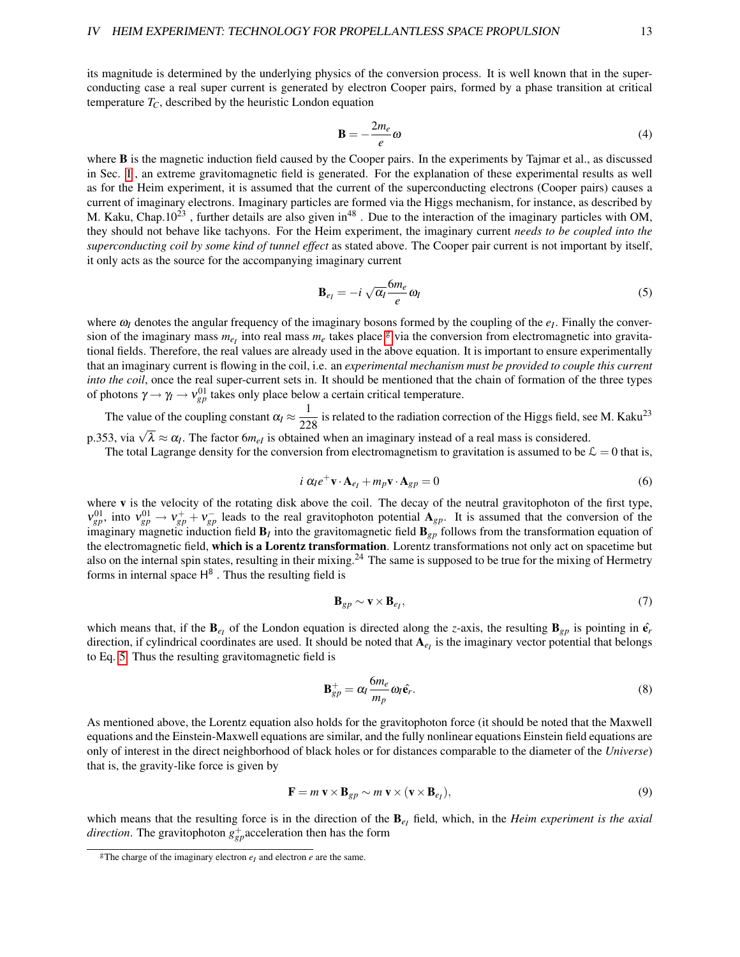its magnitude is determined by the underlying physics of the conversion process. It is well known that in the superconducting case a real super current is generated by electron Cooper pairs, formed by a phase transition at critical temperature  $T_C$ , described by the heuristic London equation

$$
\mathbf{B} = -\frac{2m_e}{e}\omega\tag{4}
$$

where **B** is the magnetic induction field caused by the Cooper pairs. In the experiments by Tajmar et al., as discussed in Sec. [I](#page-1-0) , an extreme gravitomagnetic field is generated. For the explanation of these experimental results as well as for the Heim experiment, it is assumed that the current of the superconducting electrons (Cooper pairs) causes a current of imaginary electrons. Imaginary particles are formed via the Higgs mechanism, for instance, as described by M. Kaku, Chap.10<sup>23</sup>, further details are also given in<sup>48</sup>. Due to the interaction of the imaginary particles with OM, they should not behave like tachyons. For the Heim experiment, the imaginary current *needs to be coupled into the superconducting coil by some kind of tunnel effect* as stated above. The Cooper pair current is not important by itself, it only acts as the source for the accompanying imaginary current

<span id="page-12-1"></span>
$$
\mathbf{B}_{e_I} = -i \sqrt{\alpha_I} \frac{6m_e}{e} \omega_I \tag{5}
$$

where  $\omega_I$  denotes the angular frequency of the imaginary bosons formed by the coupling of the  $e_I$ . Finally the conversion of the ima[g](#page-12-0)inary mass  $m_{eI}$  into real mass  $m_e$  takes place  $g$  via the conversion from electromagnetic into gravitational fields. Therefore, the real values are already used in the above equation. It is important to ensure experimentally that an imaginary current is flowing in the coil, i.e. an *experimental mechanism must be provided to couple this current into the coil*, once the real super-current sets in. It should be mentioned that the chain of formation of the three types of photons  $\gamma \rightarrow \gamma_l \rightarrow v_{gp}^{01}$  takes only place below a certain critical temperature.

The value of the coupling constant  $\alpha_l \approx \frac{1}{22}$  $\frac{1}{228}$  is related to the radiation correction of the Higgs field, see M. Kaku<sup>23</sup> p.353, via  $\sqrt{\lambda} \approx \alpha_I$ . The factor 6*m<sub>eI</sub>* is obtained when an imaginary instead of a real mass is considered.

The total Lagrange density for the conversion from electromagnetism to gravitation is assumed to be  $\mathcal{L} = 0$  that is,

$$
i \alpha_{\ell} e^{+} \mathbf{v} \cdot \mathbf{A}_{e_{\ell}} + m_{p} \mathbf{v} \cdot \mathbf{A}_{gp} = 0
$$
 (6)

where v is the velocity of the rotating disk above the coil. The decay of the neutral gravitophoton of the first type,  $v_{gp}^{01}$ , into  $v_{gp}^{01} \to v_{gp}^+ + v_{gp}^-$  leads to the real gravitophoton potential  $A_{gp}$ . It is assumed that the conversion of the imaginary magnetic induction field  $\mathbf{B}_I$  into the gravitomagnetic field  $\mathbf{B}_{gp}$  follows from the transformation equation of the electromagnetic field, which is a Lorentz transformation. Lorentz transformations not only act on spacetime but also on the internal spin states, resulting in their mixing.<sup>24</sup> The same is supposed to be true for the mixing of Hermetry forms in internal space  $H^8$ . Thus the resulting field is

$$
\mathbf{B}_{gp} \sim \mathbf{v} \times \mathbf{B}_{e_I},\tag{7}
$$

which means that, if the  $\mathbf{B}_{e_I}$  of the London equation is directed along the *z*-axis, the resulting  $\mathbf{B}_{gp}$  is pointing in  $\hat{\mathbf{e}}_r$ direction, if cylindrical coordinates are used. It should be noted that  $A_{e_I}$  is the imaginary vector potential that belongs to Eq. [5.](#page-12-1) Thus the resulting gravitomagnetic field is

$$
\mathbf{B}_{gp}^+ = \alpha_I \frac{6m_e}{m_p} \omega_I \hat{\mathbf{e}}_r. \tag{8}
$$

As mentioned above, the Lorentz equation also holds for the gravitophoton force (it should be noted that the Maxwell equations and the Einstein-Maxwell equations are similar, and the fully nonlinear equations Einstein field equations are only of interest in the direct neighborhood of black holes or for distances comparable to the diameter of the *Universe*) that is, the gravity-like force is given by

$$
\mathbf{F} = m \mathbf{v} \times \mathbf{B}_{gp} \sim m \mathbf{v} \times (\mathbf{v} \times \mathbf{B}_{e_I}),
$$
\n(9)

which means that the resulting force is in the direction of the  $B_{e_I}$  field, which, in the *Heim experiment is the axial direction*. The gravitophoton  $g_{gp}^+$  acceleration then has the form

<span id="page-12-0"></span><sup>&</sup>lt;sup>g</sup>The charge of the imaginary electron  $e_I$  and electron  $e$  are the same.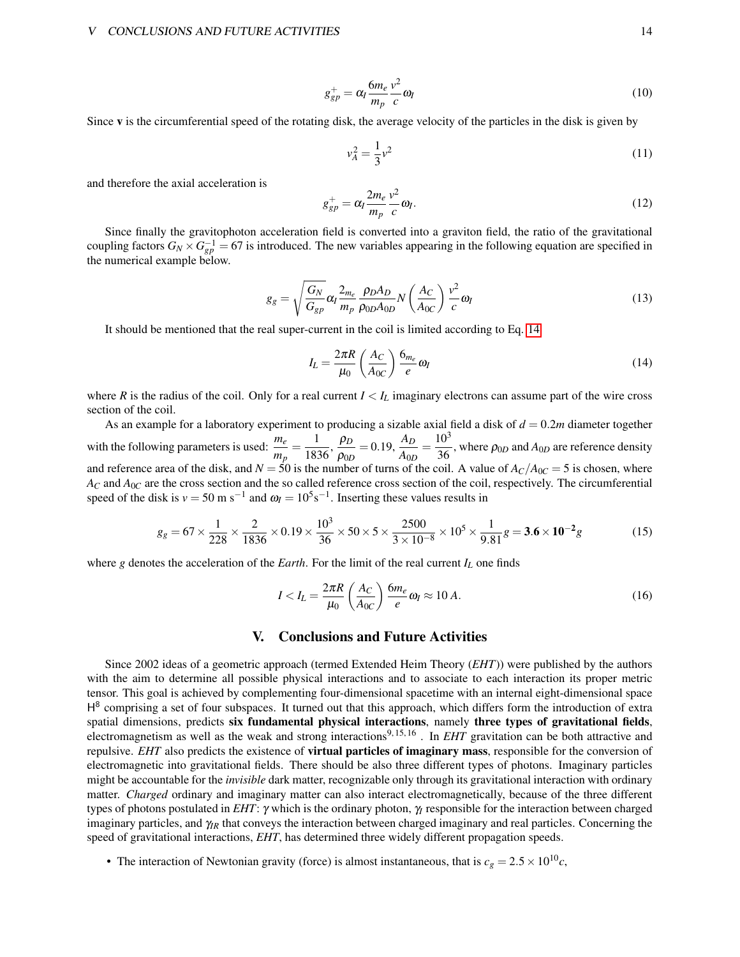$$
g_{gp}^+ = \alpha_I \frac{6m_e}{m_p} \frac{v^2}{c} \omega_I \tag{10}
$$

Since v is the circumferential speed of the rotating disk, the average velocity of the particles in the disk is given by

$$
v_A^2 = \frac{1}{3}v^2\tag{11}
$$

and therefore the axial acceleration is

$$
g_{gp}^+ = \alpha_I \frac{2m_e}{m_p} \frac{v^2}{c} \omega_I.
$$
 (12)

Since finally the gravitophoton acceleration field is converted into a graviton field, the ratio of the gravitational coupling factors  $G_N \times G_{gp}^{-1} = 67$  is introduced. The new variables appearing in the following equation are specified in the numerical example below.

$$
g_g = \sqrt{\frac{G_N}{G_{gp}}} \alpha_I \frac{2_{m_e}}{m_p} \frac{\rho_D A_D}{\rho_{0D} A_{0D}} N \left(\frac{A_C}{A_{0C}}\right) \frac{v^2}{c} \omega_I
$$
\n(13)

It should be mentioned that the real super-current in the coil is limited according to Eq. [14](#page-13-0)

<span id="page-13-0"></span>
$$
I_L = \frac{2\pi R}{\mu_0} \left(\frac{A_C}{A_{0C}}\right) \frac{6_{m_e}}{e} \omega_l \tag{14}
$$

where *R* is the radius of the coil. Only for a real current  $I < I_L$  imaginary electrons can assume part of the wire cross section of the coil.

As an example for a laboratory experiment to producing a sizable axial field a disk of *d* = 0.2*m* diameter together with the following parameters is used:  $\frac{m_e}{m_p} = \frac{1}{183}$  $\frac{1}{1836}, \frac{\rho_D}{\rho_{0L}}$  $\frac{\rho_D}{\rho_{0D}} = 0.19, \frac{A_D}{A_{0L}}$  $rac{A_D}{A_{0D}} = \frac{10^3}{36}$  $\frac{10}{36}$ , where  $\rho_{0D}$  and  $A_{0D}$  are reference density and reference area of the disk, and  $N = 50$  is the number of turns of the coil. A value of  $A_C/A_{0C} = 5$  is chosen, where  $A_C$  and  $A_{0C}$  are the cross section and the so called reference cross section of the coil, respectively. The circumferential speed of the disk is  $v = 50$  m s<sup>-1</sup> and  $\omega_I = 10^5$ s<sup>-1</sup>. Inserting these values results in

$$
g_g = 67 \times \frac{1}{228} \times \frac{2}{1836} \times 0.19 \times \frac{10^3}{36} \times 50 \times 5 \times \frac{2500}{3 \times 10^{-8}} \times 10^5 \times \frac{1}{9.81} g = 3.6 \times 10^{-2} g
$$
 (15)

where *g* denotes the acceleration of the *Earth*. For the limit of the real current  $I_L$  one finds

$$
I < I_L = \frac{2\pi R}{\mu_0} \left(\frac{A_C}{A_{0C}}\right) \frac{6m_e}{e} \omega_I \approx 10 \, A. \tag{16}
$$

## V. Conclusions and Future Activities

Since 2002 ideas of a geometric approach (termed Extended Heim Theory (*EHT*)) were published by the authors with the aim to determine all possible physical interactions and to associate to each interaction its proper metric tensor. This goal is achieved by complementing four-dimensional spacetime with an internal eight-dimensional space H<sup>8</sup> comprising a set of four subspaces. It turned out that this approach, which differs form the introduction of extra spatial dimensions, predicts six fundamental physical interactions, namely three types of gravitational fields, electromagnetism as well as the weak and strong interactions<sup>9, 15, 16</sup>. In *EHT* gravitation can be both attractive and repulsive. *EHT* also predicts the existence of virtual particles of imaginary mass, responsible for the conversion of electromagnetic into gravitational fields. There should be also three different types of photons. Imaginary particles might be accountable for the *invisible* dark matter, recognizable only through its gravitational interaction with ordinary matter. *Charged* ordinary and imaginary matter can also interact electromagnetically, because of the three different types of photons postulated in *EHT*: γ which is the ordinary photon, γ*<sup>I</sup>* responsible for the interaction between charged imaginary particles, and  $\gamma_R$  that conveys the interaction between charged imaginary and real particles. Concerning the speed of gravitational interactions, *EHT*, has determined three widely different propagation speeds.

• The interaction of Newtonian gravity (force) is almost instantaneous, that is  $c_g = 2.5 \times 10^{10}c$ ,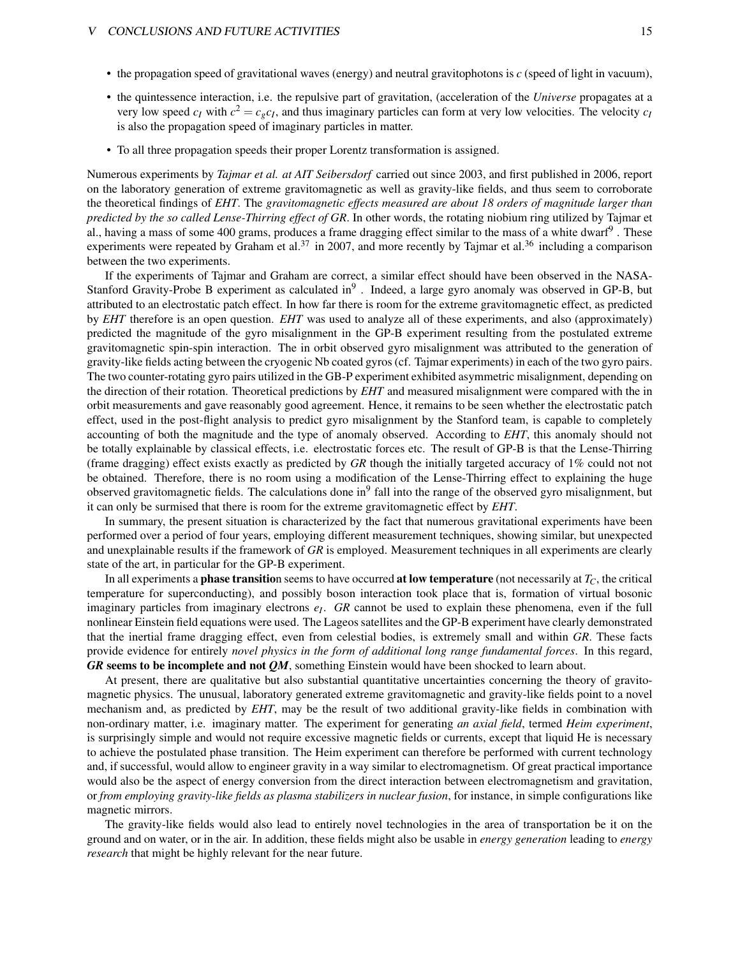- the propagation speed of gravitational waves (energy) and neutral gravitophotons is *c* (speed of light in vacuum),
- the quintessence interaction, i.e. the repulsive part of gravitation, (acceleration of the *Universe* propagates at a very low speed  $c_I$  with  $c^2 = c_g c_I$ , and thus imaginary particles can form at very low velocities. The velocity  $c_I$ is also the propagation speed of imaginary particles in matter.
- To all three propagation speeds their proper Lorentz transformation is assigned.

Numerous experiments by *Tajmar et al. at AIT Seibersdorf* carried out since 2003, and first published in 2006, report on the laboratory generation of extreme gravitomagnetic as well as gravity-like fields, and thus seem to corroborate the theoretical findings of *EHT*. The *gravitomagnetic effects measured are about 18 orders of magnitude larger than predicted by the so called Lense-Thirring effect of GR*. In other words, the rotating niobium ring utilized by Tajmar et al., having a mass of some 400 grams, produces a frame dragging effect similar to the mass of a white dwarf<sup>9</sup>. These experiments were repeated by Graham et al.<sup>37</sup> in 2007, and more recently by Tajmar et al.<sup>36</sup> including a comparison between the two experiments.

If the experiments of Tajmar and Graham are correct, a similar effect should have been observed in the NASA-Stanford Gravity-Probe B experiment as calculated in<sup>9</sup>. Indeed, a large gyro anomaly was observed in GP-B, but attributed to an electrostatic patch effect. In how far there is room for the extreme gravitomagnetic effect, as predicted by *EHT* therefore is an open question. *EHT* was used to analyze all of these experiments, and also (approximately) predicted the magnitude of the gyro misalignment in the GP-B experiment resulting from the postulated extreme gravitomagnetic spin-spin interaction. The in orbit observed gyro misalignment was attributed to the generation of gravity-like fields acting between the cryogenic Nb coated gyros (cf. Tajmar experiments) in each of the two gyro pairs. The two counter-rotating gyro pairs utilized in the GB-P experiment exhibited asymmetric misalignment, depending on the direction of their rotation. Theoretical predictions by *EHT* and measured misalignment were compared with the in orbit measurements and gave reasonably good agreement. Hence, it remains to be seen whether the electrostatic patch effect, used in the post-flight analysis to predict gyro misalignment by the Stanford team, is capable to completely accounting of both the magnitude and the type of anomaly observed. According to *EHT*, this anomaly should not be totally explainable by classical effects, i.e. electrostatic forces etc. The result of GP-B is that the Lense-Thirring (frame dragging) effect exists exactly as predicted by *GR* though the initially targeted accuracy of 1% could not not be obtained. Therefore, there is no room using a modification of the Lense-Thirring effect to explaining the huge observed gravitomagnetic fields. The calculations done in<sup>9</sup> fall into the range of the observed gyro misalignment, but it can only be surmised that there is room for the extreme gravitomagnetic effect by *EHT*.

In summary, the present situation is characterized by the fact that numerous gravitational experiments have been performed over a period of four years, employing different measurement techniques, showing similar, but unexpected and unexplainable results if the framework of *GR* is employed. Measurement techniques in all experiments are clearly state of the art, in particular for the GP-B experiment.

In all experiments a phase transition seems to have occurred at low temperature (not necessarily at *TC*, the critical temperature for superconducting), and possibly boson interaction took place that is, formation of virtual bosonic imaginary particles from imaginary electrons *e<sup>I</sup>* . *GR* cannot be used to explain these phenomena, even if the full nonlinear Einstein field equations were used. The Lageos satellites and the GP-B experiment have clearly demonstrated that the inertial frame dragging effect, even from celestial bodies, is extremely small and within *GR*. These facts provide evidence for entirely *novel physics in the form of additional long range fundamental forces*. In this regard, *GR* seems to be incomplete and not *QM*, something Einstein would have been shocked to learn about.

At present, there are qualitative but also substantial quantitative uncertainties concerning the theory of gravitomagnetic physics. The unusual, laboratory generated extreme gravitomagnetic and gravity-like fields point to a novel mechanism and, as predicted by *EHT*, may be the result of two additional gravity-like fields in combination with non-ordinary matter, i.e. imaginary matter. The experiment for generating *an axial field*, termed *Heim experiment*, is surprisingly simple and would not require excessive magnetic fields or currents, except that liquid He is necessary to achieve the postulated phase transition. The Heim experiment can therefore be performed with current technology and, if successful, would allow to engineer gravity in a way similar to electromagnetism. Of great practical importance would also be the aspect of energy conversion from the direct interaction between electromagnetism and gravitation, or *from employing gravity-like fields as plasma stabilizers in nuclear fusion*, for instance, in simple configurations like magnetic mirrors.

The gravity-like fields would also lead to entirely novel technologies in the area of transportation be it on the ground and on water, or in the air. In addition, these fields might also be usable in *energy generation* leading to *energy research* that might be highly relevant for the near future.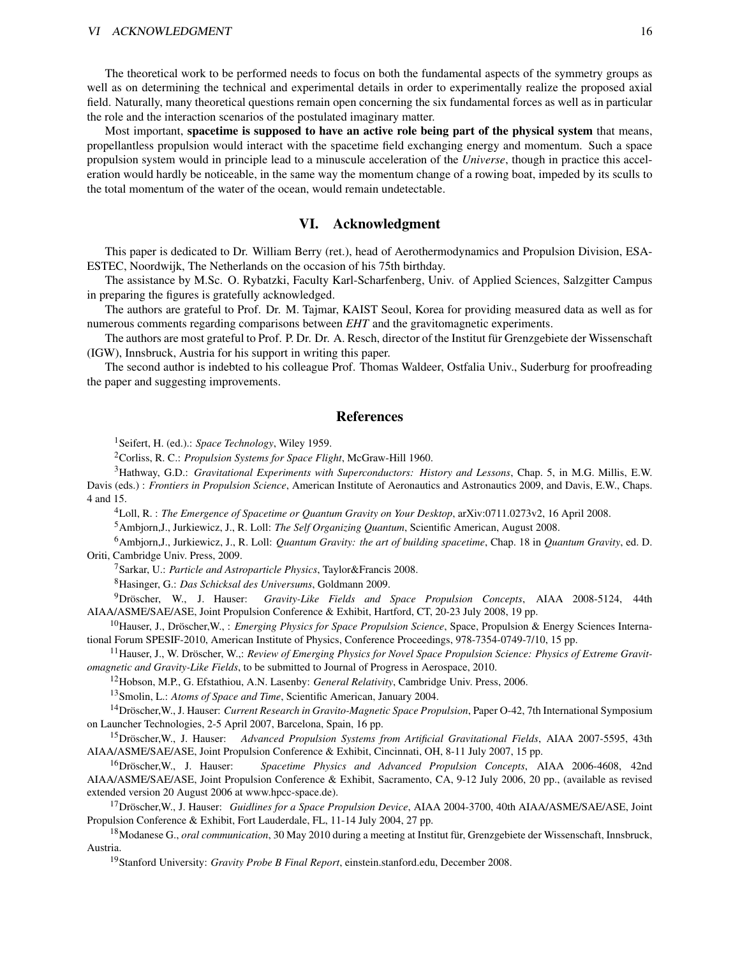The theoretical work to be performed needs to focus on both the fundamental aspects of the symmetry groups as well as on determining the technical and experimental details in order to experimentally realize the proposed axial field. Naturally, many theoretical questions remain open concerning the six fundamental forces as well as in particular the role and the interaction scenarios of the postulated imaginary matter.

Most important, spacetime is supposed to have an active role being part of the physical system that means, propellantless propulsion would interact with the spacetime field exchanging energy and momentum. Such a space propulsion system would in principle lead to a minuscule acceleration of the *Universe*, though in practice this acceleration would hardly be noticeable, in the same way the momentum change of a rowing boat, impeded by its sculls to the total momentum of the water of the ocean, would remain undetectable.

## VI. Acknowledgment

This paper is dedicated to Dr. William Berry (ret.), head of Aerothermodynamics and Propulsion Division, ESA-ESTEC, Noordwijk, The Netherlands on the occasion of his 75th birthday.

The assistance by M.Sc. O. Rybatzki, Faculty Karl-Scharfenberg, Univ. of Applied Sciences, Salzgitter Campus in preparing the figures is gratefully acknowledged.

The authors are grateful to Prof. Dr. M. Tajmar, KAIST Seoul, Korea for providing measured data as well as for numerous comments regarding comparisons between *EHT* and the gravitomagnetic experiments.

The authors are most grateful to Prof. P. Dr. Dr. A. Resch, director of the Institut für Grenzgebiete der Wissenschaft (IGW), Innsbruck, Austria for his support in writing this paper.

The second author is indebted to his colleague Prof. Thomas Waldeer, Ostfalia Univ., Suderburg for proofreading the paper and suggesting improvements.

## References

<sup>1</sup>Seifert, H. (ed.).: *Space Technology*, Wiley 1959.

<sup>2</sup>Corliss, R. C.: *Propulsion Systems for Space Flight*, McGraw-Hill 1960.

<sup>3</sup>Hathway, G.D.: *Gravitational Experiments with Superconductors: History and Lessons*, Chap. 5, in M.G. Millis, E.W. Davis (eds.) : *Frontiers in Propulsion Science*, American Institute of Aeronautics and Astronautics 2009, and Davis, E.W., Chaps. 4 and 15.

<sup>4</sup>Loll, R. : *The Emergence of Spacetime or Quantum Gravity on Your Desktop*, arXiv:0711.0273v2, 16 April 2008.

<sup>5</sup>Ambjorn,J., Jurkiewicz, J., R. Loll: *The Self Organizing Quantum*, Scientific American, August 2008.

<sup>6</sup>Ambjorn,J., Jurkiewicz, J., R. Loll: *Quantum Gravity: the art of building spacetime*, Chap. 18 in *Quantum Gravity*, ed. D. Oriti, Cambridge Univ. Press, 2009.

<sup>7</sup>Sarkar, U.: *Particle and Astroparticle Physics*, Taylor&Francis 2008.

<sup>8</sup>Hasinger, G.: *Das Schicksal des Universums*, Goldmann 2009.

<sup>9</sup>Dröscher, W., J. Hauser: *Gravity-Like Fields and Space Propulsion Concepts*, AIAA 2008-5124, 44th AIAA/ASME/SAE/ASE, Joint Propulsion Conference & Exhibit, Hartford, CT, 20-23 July 2008, 19 pp.

<sup>10</sup>Hauser, J., Dröscher,W., : *Emerging Physics for Space Propulsion Science*, Space, Propulsion & Energy Sciences International Forum SPESIF-2010, American Institute of Physics, Conference Proceedings, 978-7354-0749-7/10, 15 pp.

<sup>11</sup>Hauser, J., W. Dröscher, W.,: *Review of Emerging Physics for Novel Space Propulsion Science: Physics of Extreme Gravitomagnetic and Gravity-Like Fields*, to be submitted to Journal of Progress in Aerospace, 2010.

<sup>12</sup>Hobson, M.P., G. Efstathiou, A.N. Lasenby: *General Relativity*, Cambridge Univ. Press, 2006.

<sup>13</sup>Smolin, L.: *Atoms of Space and Time*, Scientific American, January 2004.

<sup>14</sup>Dröscher,W., J. Hauser: *Current Research in Gravito-Magnetic Space Propulsion*, Paper O-42, 7th International Symposium on Launcher Technologies, 2-5 April 2007, Barcelona, Spain, 16 pp.

<sup>15</sup>Dröscher,W., J. Hauser: *Advanced Propulsion Systems from Artificial Gravitational Fields*, AIAA 2007-5595, 43th AIAA/ASME/SAE/ASE, Joint Propulsion Conference & Exhibit, Cincinnati, OH, 8-11 July 2007, 15 pp.

<sup>16</sup>Dröscher,W., J. Hauser: *Spacetime Physics and Advanced Propulsion Concepts*, AIAA 2006-4608, 42nd AIAA/ASME/SAE/ASE, Joint Propulsion Conference & Exhibit, Sacramento, CA, 9-12 July 2006, 20 pp., (available as revised extended version 20 August 2006 at www.hpcc-space.de).

<sup>17</sup>Dröscher,W., J. Hauser: *Guidlines for a Space Propulsion Device*, AIAA 2004-3700, 40th AIAA/ASME/SAE/ASE, Joint Propulsion Conference & Exhibit, Fort Lauderdale, FL, 11-14 July 2004, 27 pp.

<sup>18</sup>Modanese G., *oral communication*, 30 May 2010 during a meeting at Institut für, Grenzgebiete der Wissenschaft, Innsbruck, Austria.

<sup>19</sup>Stanford University: *Gravity Probe B Final Report*, einstein.stanford.edu, December 2008.